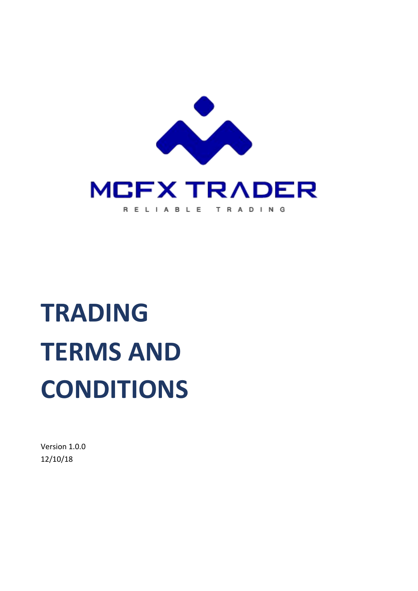

# **TRADING TERMS AND CONDITIONS**

Version 1.0.0 12/10/18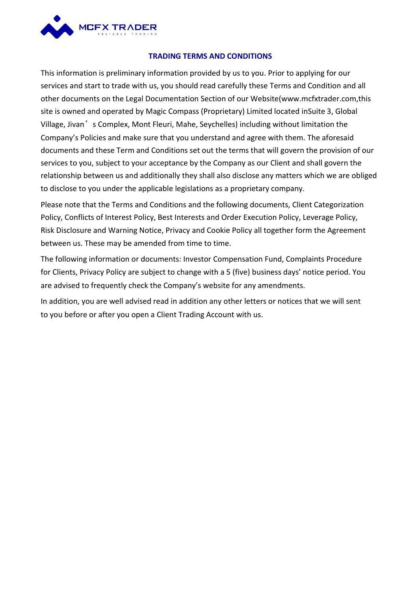

#### **TRADING TERMSAND CONDITIONS**

This information is preliminary information provided by us to you. Prior to applying for our services and start to trade with us, you should read carefully these Terms and Condition and all other documents on the Legal Documentation Section of our Website(www.mcfxtrader.com,this site is owned and operated by Magic Compass (Proprietary) Limited located inSuite 3, Global Village, Jivan's Complex, Mont Fleuri, Mahe, Seychelles) including without limitation the Company's Policies and make sure that you understand and agree with them. The aforesaid documents and these Term and Conditions set out the terms that will govern the provision of our services to you, subject to your acceptance by the Company as our Client and shall govern the relationship between us and additionally they shall also disclose any matters which we are obliged to disclose to you under the applicable legislations as a proprietary company.

Please note that the Terms and Conditions and the following documents, Client Categorization Policy, Conflicts of Interest Policy, Best Interests and Order Execution Policy, Leverage Policy, Risk Disclosure and Warning Notice, Privacy and Cookie Policy all together form the Agreement between us. These may be amended from time to time.

The following information or documents: Investor Compensation Fund, Complaints Procedure for Clients, Privacy Policy are subject to change with a 5 (five) business days' notice period. You are advised to frequently check the Company's website for any amendments.

In addition, you are well advised read in addition any other letters or notices that we will sent to you before or after you open a Client Trading Account with us.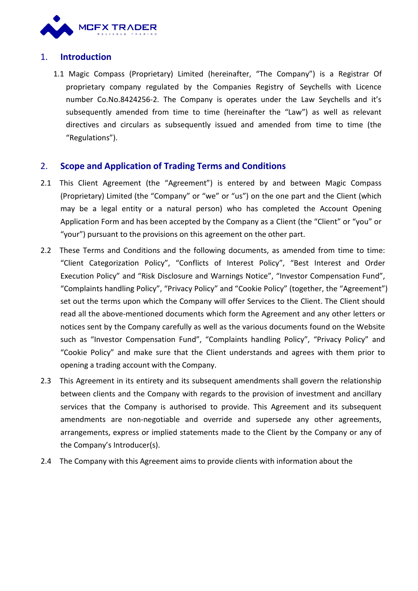

# 1. **Introduction**

1.1 Magic Compass (Proprietary) Limited (hereinafter, "The Company") is a Registrar Of proprietary company regulated by the Companies Registry of Seychells with Licence number Co.No.8424256-2. The Company is operates under the Law Seychells and it's subsequently amended from time to time (hereinafter the "Law") as well as relevant directives and circulars as subsequently issued and amended from time to time (the "Regulations").

### 2. **Scope and Application of Trading Terms and Conditions**

- 2.1 This Client Agreement (the "Agreement") is entered by and between Magic Compass (Proprietary) Limited (the "Company" or "we" or "us") on the one part and the Client (which may be a legal entity or a natural person) who has completed the Account Opening Application Form and has been accepted by the Company as a Client (the "Client" or "you" or "your") pursuant to the provisions on this agreement on the other part.
- 2.2 These Terms and Conditions and the following documents, as amended from time to time: "Client Categorization Policy", "Conflicts of Interest Policy", "Best Interest and Order Execution Policy" and "Risk Disclosure and Warnings Notice", "Investor Compensation Fund", "Complaints handling Policy", "Privacy Policy" and "Cookie Policy" (together, the "Agreement") set out the terms upon which the Company will offer Services to the Client. The Client should read all the above-mentioned documents which form the Agreement and any other letters or notices sent by the Company carefully as well as the various documents found on the Website such as "Investor Compensation Fund", "Complaints handling Policy", "Privacy Policy" and "Cookie Policy" and make sure that the Client understands and agrees with them prior to opening a trading account with the Company.
- 2.3 This Agreement in its entirety and its subsequent amendments shall govern the relationship between clients and the Company with regards to the provision of investment and ancillary services that the Company is authorised to provide. This Agreement and its subsequent amendments are non-negotiable and override and supersede any other agreements, arrangements, express or implied statements made to the Client by the Company or any of the Company's Introducer(s).
- 2.4 The Company with this Agreement aims to provide clients with information about the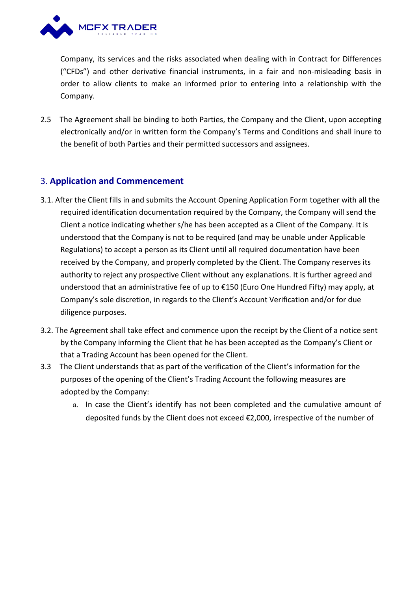

Company, its services and the risks associated when dealing with in Contract for Differences ("CFDs") and other derivative financial instruments, in afair and non-misleading basis in order to allow clients to make an informed prior to entering into a relationship with the Company.

2.5 The Agreement shall be binding to both Parties, the Company and the Client, upon accepting electronically and/or in written form the Company's Terms and Conditions and shall inure to the benefit of both Parties and their permitted successors and assignees.

# 3. **Application and Commencement**

- 3.1. After the Client fills in and submits the Account Opening Application Form together with all the required identification documentation required by the Company, the Company will send the Client a notice indicating whether s/he has been accepted as a Client of the Company. It is understood that the Company is not to be required (and may be unable under Applicable Regulations) to accept a person as its Client until all required documentation have been received by the Company, and properly completed by the Client. The Company reserves its authority to reject any prospective Client without any explanations. It is further agreed and understood that an administrative fee of up to €150 (Euro One Hundred Fifty) may apply, at Company's sole discretion, in regards to the Client's Account Verification and/or for due diligence purposes.
- 3.2. The Agreement shall take effect and commence upon the receipt by the Client of a notice sent by the Company informing the Client that he has been accepted as the Company's Client or that a Trading Account has been opened for the Client.
- 3.3 The Client understands that as part of the verification of the Client's information for the purposes of the opening of the Client's Trading Account the following measures are adopted by the Company:
	- a. In case the Client's identify has not been completed and the cumulative amount of deposited funds by the Client does not exceed €2,000, irrespective of the number of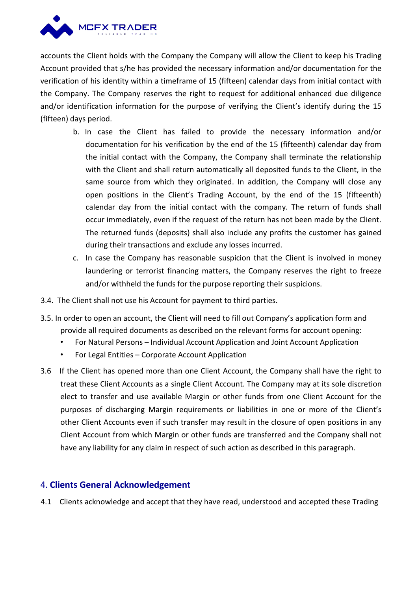

accounts the Client holds with the Company the Company will allow the Client to keep his Trading Account provided that s/he has provided the necessary information and/or documentation for the verification of hisidentity within a timeframe of 15 (fifteen) calendar days from initial contact with the Company. The Company reserves the right to request for additional enhanced due diligence and/or identification information for the purpose of verifying the Client's identify during the 15 (fifteen) days period.

- b. In case the Client has failed to provide the necessary information and/or documentation for his verification by the end of the 15 (fifteenth) calendar day from the initial contact with the Company, the Company shall terminate the relationship with the Client and shall return automatically all deposited funds to the Client, in the same source from which they originated. In addition, the Company will close any open positions in the Client's Trading Account, by the end of the 15 (fifteenth) calendar day from the initial contact with the company. The return of funds shall occur immediately, even if the request of the return has not been made by the Client. The returned funds(deposits) shall also include any profits the customer has gained during their transactions and exclude any losses incurred.
- c. In case the Company has reasonable suspicion that the Client is involved in money laundering or terrorist financing matters, the Company reserves the right to freeze and/or withheld the funds for the purpose reporting their suspicions.
- 3.4. The Client shall not use his Account for payment to third parties.
- 3.5. In order to open an account, the Client will need to fill out Company's application form and provide all required documents as described on the relevant forms for account opening:
	- For Natural Persons Individual Account Application and Joint Account Application
	- For Legal Entities Corporate Account Application
- 3.6 If the Client has opened more than one Client Account, the Company shall have the right to treat these Client Accounts as a single Client Account. The Company may at its sole discretion elect to transfer and use available Margin or other funds from one Client Account for the purposes of discharging Margin requirements or liabilities in one or more of the Client's other Client Accounts even if such transfer may result in the closure of open positions in any Client Account from which Margin or other funds are transferred and the Company shall not have any liability for any claim in respect of such action as described in this paragraph.

# 4. **Clients General Acknowledgement**

4.1 Clients acknowledge and accept that they have read, understood and accepted these Trading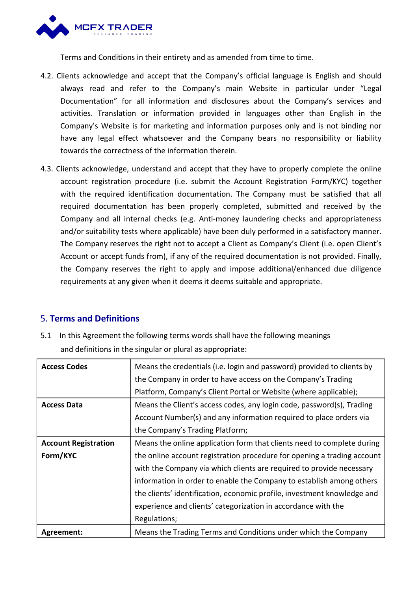

Terms and Conditions in their entirety and as amended from time to time.

- 4.2. Clients acknowledge and accept that the Company's official language is English and should always read and refer to the Company's main Website in particular under "Legal Documentation" for all information and disclosures about the Company's services and activities. Translation or information provided in languages other than English in the Company's Website is for marketing and information purposes only and is not binding nor have any legal effect whatsoever and the Company bears no responsibility or liability towards the correctness of the information therein.
- 4.3. Clients acknowledge, understand and accept that they have to properly complete the online account registration procedure (i.e. submit the Account Registration Form/KYC) together with the required identification documentation. The Company must be satisfied that all required documentation has been properly completed, submitted and received by the Company and all internal checks (e.g. Anti-money laundering checks and appropriateness and/or suitability tests where applicable) have been duly performed in a satisfactory manner. The Company reserves the right not to accept a Client as Company's Client (i.e. open Client's Account or accept funds from), if any of the required documentation is not provided. Finally, the Company reserves the right to apply and impose additional/enhanced due diligence requirements at any given when it deems it deems suitable and appropriate.

# 5. **Terms and Definitions**

| 5.1 In this Agreement the following terms words shall have the following meanings |
|-----------------------------------------------------------------------------------|
| and definitions in the singular or plural as appropriate:                         |

| <b>Access Codes</b>         | Means the credentials (i.e. login and password) provided to clients by  |
|-----------------------------|-------------------------------------------------------------------------|
|                             | the Company in order to have access on the Company's Trading            |
|                             | Platform, Company's Client Portal or Website (where applicable);        |
| <b>Access Data</b>          | Means the Client's access codes, any login code, password(s), Trading   |
|                             | Account Number(s) and any information required to place orders via      |
|                             | the Company's Trading Platform;                                         |
| <b>Account Registration</b> | Means the online application form that clients need to complete during  |
| Form/KYC                    | the online account registration procedure for opening a trading account |
|                             | with the Company via which clients are required to provide necessary    |
|                             | information in order to enable the Company to establish among others    |
|                             | the clients' identification, economic profile, investment knowledge and |
|                             | experience and clients' categorization in accordance with the           |
|                             | Regulations;                                                            |
| Agreement:                  | Means the Trading Terms and Conditions under which the Company          |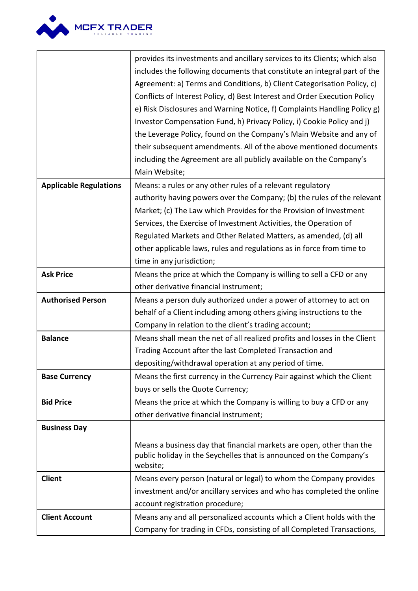

|                               | provides its investments and ancillary services to its Clients; which also |
|-------------------------------|----------------------------------------------------------------------------|
|                               | includes the following documents that constitute an integral part of the   |
|                               | Agreement: a) Terms and Conditions, b) Client Categorisation Policy, c)    |
|                               | Conflicts of Interest Policy, d) Best Interest and Order Execution Policy  |
|                               | e) Risk Disclosures and Warning Notice, f) Complaints Handling Policy g)   |
|                               | Investor Compensation Fund, h) Privacy Policy, i) Cookie Policy and j)     |
|                               | the Leverage Policy, found on the Company's Main Website and any of        |
|                               | their subsequent amendments. All of the above mentioned documents          |
|                               | including the Agreement are all publicly available on the Company's        |
|                               | Main Website;                                                              |
| <b>Applicable Regulations</b> | Means: a rules or any other rules of a relevant regulatory                 |
|                               | authority having powers over the Company; (b) the rules of the relevant    |
|                               | Market; (c) The Law which Provides for the Provision of Investment         |
|                               | Services, the Exercise of Investment Activities, the Operation of          |
|                               | Regulated Markets and Other Related Matters, as amended, (d) all           |
|                               | other applicable laws, rules and regulations as in force from time to      |
|                               | time in any jurisdiction;                                                  |
| <b>Ask Price</b>              | Means the price at which the Company is willing to sell a CFD or any       |
|                               | other derivative financial instrument;                                     |
| <b>Authorised Person</b>      | Means a person duly authorized under a power of attorney to act on         |
|                               | behalf of a Client including among others giving instructions to the       |
|                               | Company in relation to the client's trading account;                       |
| <b>Balance</b>                | Means shall mean the net of all realized profits and losses in the Client  |
|                               | Trading Account after the last Completed Transaction and                   |
|                               | depositing/withdrawal operation at any period of time.                     |
| <b>Base Currency</b>          | Means the first currency in the Currency Pair against which the Client     |
|                               | buys or sells the Quote Currency;                                          |
| <b>Bid Price</b>              | Means the price at which the Company is willing to buy a CFD or any        |
|                               | other derivative financial instrument;                                     |
| <b>Business Day</b>           |                                                                            |
|                               | Means a business day that financial markets are open, other than the       |
|                               | public holiday in the Seychelles that is announced on the Company's        |
|                               | website;                                                                   |
| <b>Client</b>                 | Means every person (natural or legal) to whom the Company provides         |
|                               | investment and/or ancillary services and who has completed the online      |
|                               | account registration procedure;                                            |
| <b>Client Account</b>         | Means any and all personalized accounts which a Client holds with the      |
|                               | Company for trading in CFDs, consisting of all Completed Transactions,     |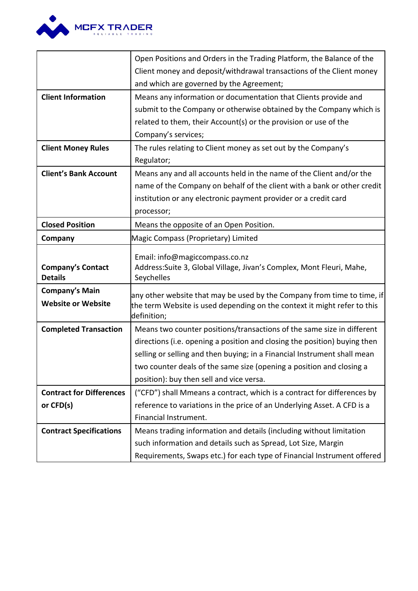

|                                                    | Open Positions and Orders in the Trading Platform, the Balance of the                                                                               |
|----------------------------------------------------|-----------------------------------------------------------------------------------------------------------------------------------------------------|
|                                                    | Client money and deposit/withdrawal transactions of the Client money                                                                                |
|                                                    | and which are governed by the Agreement;                                                                                                            |
| <b>Client Information</b>                          | Means any information or documentation that Clients provide and                                                                                     |
|                                                    | submit to the Company or otherwise obtained by the Company which is                                                                                 |
|                                                    | related to them, their Account(s) or the provision or use of the                                                                                    |
|                                                    | Company's services;                                                                                                                                 |
| <b>Client Money Rules</b>                          | The rules relating to Client money as set out by the Company's                                                                                      |
|                                                    | Regulator;                                                                                                                                          |
| <b>Client's Bank Account</b>                       | Means any and all accounts held in the name of the Client and/or the                                                                                |
|                                                    | name of the Company on behalf of the client with a bank or other credit                                                                             |
|                                                    | institution or any electronic payment provider or a credit card                                                                                     |
|                                                    | processor;                                                                                                                                          |
| <b>Closed Position</b>                             | Means the opposite of an Open Position.                                                                                                             |
| Company                                            | Magic Compass (Proprietary) Limited                                                                                                                 |
| <b>Company's Contact</b>                           | Email: info@magiccompass.co.nz<br>Address: Suite 3, Global Village, Jivan's Complex, Mont Fleuri, Mahe,                                             |
| <b>Details</b>                                     | Seychelles                                                                                                                                          |
| <b>Company's Main</b><br><b>Website or Website</b> | any other website that may be used by the Company from time to time, if<br>the term Website is used depending on the context it might refer to this |
|                                                    | definition;                                                                                                                                         |
| <b>Completed Transaction</b>                       | Means two counter positions/transactions of the same size in different                                                                              |
|                                                    | directions (i.e. opening a position and closing the position) buying then                                                                           |
|                                                    | selling or selling and then buying; in a Financial Instrument shall mean                                                                            |
|                                                    | two counter deals of the same size (opening a position and closing a                                                                                |
|                                                    | position): buy then sell and vice versa.                                                                                                            |
| <b>Contract for Differences</b>                    | ("CFD") shall Mmeans a contract, which is a contract for differences by                                                                             |
| or CFD(s)                                          | reference to variations in the price of an Underlying Asset. A CFD is a                                                                             |
|                                                    | Financial Instrument.                                                                                                                               |
| <b>Contract Specifications</b>                     | Means trading information and details (including without limitation                                                                                 |
|                                                    | such information and details such as Spread, Lot Size, Margin                                                                                       |
|                                                    | Requirements, Swaps etc.) for each type of Financial Instrument offered                                                                             |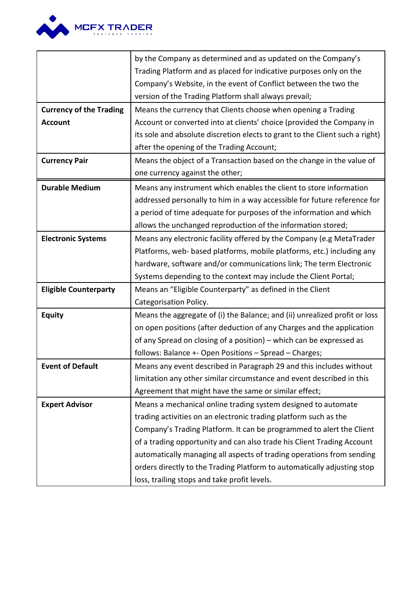

|                                | by the Company as determined and as updated on the Company's                 |
|--------------------------------|------------------------------------------------------------------------------|
|                                | Trading Platform and as placed for indicative purposes only on the           |
|                                | Company's Website, in the event of Conflict between the two the              |
|                                | version of the Trading Platform shall always prevail;                        |
| <b>Currency of the Trading</b> | Means the currency that Clients choose when opening a Trading                |
| <b>Account</b>                 | Account or converted into at clients' choice (provided the Company in        |
|                                | its sole and absolute discretion elects to grant to the Client such a right) |
|                                | after the opening of the Trading Account;                                    |
| <b>Currency Pair</b>           | Means the object of a Transaction based on the change in the value of        |
|                                | one currency against the other;                                              |
| <b>Durable Medium</b>          | Means any instrument which enables the client to store information           |
|                                | addressed personally to him in a way accessible for future reference for     |
|                                | a period of time adequate for purposes of the information and which          |
|                                | allows the unchanged reproduction of the information stored;                 |
| <b>Electronic Systems</b>      | Means any electronic facility offered by the Company (e.g MetaTrader         |
|                                | Platforms, web- based platforms, mobile platforms, etc.) including any       |
|                                | hardware, software and/or communications link; The term Electronic           |
|                                | Systems depending to the context may include the Client Portal;              |
| <b>Eligible Counterparty</b>   | Means an "Eligible Counterparty" as defined in the Client                    |
|                                | Categorisation Policy.                                                       |
| <b>Equity</b>                  | Means the aggregate of (i) the Balance; and (ii) unrealized profit or loss   |
|                                | on open positions (after deduction of any Charges and the application        |
|                                | of any Spread on closing of a position) - which can be expressed as          |
|                                | follows: Balance +- Open Positions - Spread - Charges;                       |
| <b>Event of Default</b>        | Means any event described in Paragraph 29 and this includes without          |
|                                | limitation any other similar circumstance and event described in this        |
|                                | Agreement that might have the same or similar effect;                        |
| <b>Expert Advisor</b>          | Means a mechanical online trading system designed to automate                |
|                                | trading activities on an electronic trading platform such as the             |
|                                | Company's Trading Platform. It can be programmed to alert the Client         |
|                                | of a trading opportunity and can also trade his Client Trading Account       |
|                                | automatically managing all aspects of trading operations from sending        |
|                                | orders directly to the Trading Platform to automatically adjusting stop      |
|                                | loss, trailing stops and take profit levels.                                 |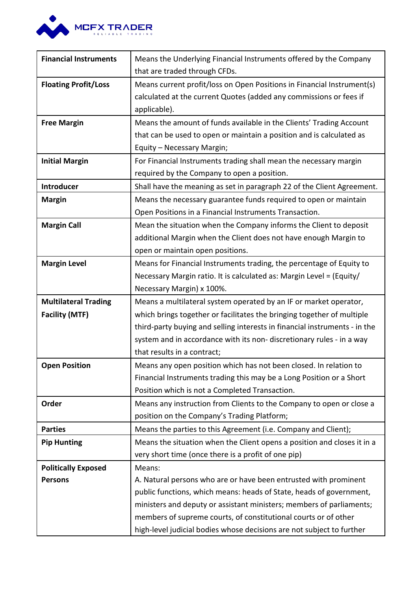

| <b>Financial Instruments</b> | Means the Underlying Financial Instruments offered by the Company          |
|------------------------------|----------------------------------------------------------------------------|
|                              | that are traded through CFDs.                                              |
| <b>Floating Profit/Loss</b>  | Means current profit/loss on Open Positions in Financial Instrument(s)     |
|                              | calculated at the current Quotes (added any commissions or fees if         |
|                              | applicable).                                                               |
| <b>Free Margin</b>           | Means the amount of funds available in the Clients' Trading Account        |
|                              | that can be used to open or maintain a position and is calculated as       |
|                              | Equity - Necessary Margin;                                                 |
| <b>Initial Margin</b>        | For Financial Instruments trading shall mean the necessary margin          |
|                              | required by the Company to open a position.                                |
| <b>Introducer</b>            | Shall have the meaning as set in paragraph 22 of the Client Agreement.     |
| <b>Margin</b>                | Means the necessary guarantee funds required to open or maintain           |
|                              | Open Positions in a Financial Instruments Transaction.                     |
| <b>Margin Call</b>           | Mean the situation when the Company informs the Client to deposit          |
|                              | additional Margin when the Client does not have enough Margin to           |
|                              | open or maintain open positions.                                           |
| <b>Margin Level</b>          | Means for Financial Instruments trading, the percentage of Equity to       |
|                              | Necessary Margin ratio. It is calculated as: Margin Level = (Equity/       |
|                              | Necessary Margin) x 100%.                                                  |
| <b>Multilateral Trading</b>  | Means a multilateral system operated by an IF or market operator,          |
| <b>Facility (MTF)</b>        | which brings together or facilitates the bringing together of multiple     |
|                              | third-party buying and selling interests in financial instruments - in the |
|                              | system and in accordance with its non-discretionary rules - in a way       |
|                              | that results in a contract;                                                |
| <b>Open Position</b>         | Means any open position which has not been closed. In relation to          |
|                              | Financial Instruments trading this may be a Long Position or a Short       |
|                              | Position which is not a Completed Transaction.                             |
| Order                        | Means any instruction from Clients to the Company to open or close a       |
|                              | position on the Company's Trading Platform;                                |
| <b>Parties</b>               | Means the parties to this Agreement (i.e. Company and Client);             |
| <b>Pip Hunting</b>           | Means the situation when the Client opens a position and closes it in a    |
|                              | very short time (once there is a profit of one pip)                        |
| <b>Politically Exposed</b>   | Means:                                                                     |
| <b>Persons</b>               | A. Natural persons who are or have been entrusted with prominent           |
|                              | public functions, which means: heads of State, heads of government,        |
|                              | ministers and deputy or assistant ministers; members of parliaments;       |
|                              | members of supreme courts, of constitutional courts or of other            |
|                              | high-level judicial bodies whose decisions are not subject to further      |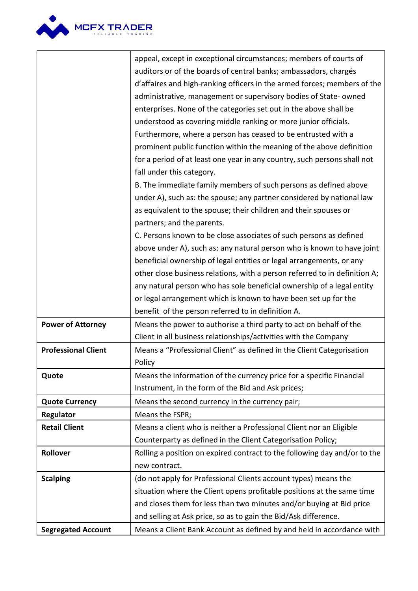

|                            | appeal, except in exceptional circumstances; members of courts of          |  |
|----------------------------|----------------------------------------------------------------------------|--|
|                            | auditors or of the boards of central banks; ambassadors, chargés           |  |
|                            | d'affaires and high-ranking officers in the armed forces; members of the   |  |
|                            | administrative, management or supervisory bodies of State-owned            |  |
|                            | enterprises. None of the categories set out in the above shall be          |  |
|                            | understood as covering middle ranking or more junior officials.            |  |
|                            | Furthermore, where a person has ceased to be entrusted with a              |  |
|                            | prominent public function within the meaning of the above definition       |  |
|                            | for a period of at least one year in any country, such persons shall not   |  |
|                            | fall under this category.                                                  |  |
|                            | B. The immediate family members of such persons as defined above           |  |
|                            | under A), such as: the spouse; any partner considered by national law      |  |
|                            | as equivalent to the spouse; their children and their spouses or           |  |
|                            | partners; and the parents.                                                 |  |
|                            | C. Persons known to be close associates of such persons as defined         |  |
|                            | above under A), such as: any natural person who is known to have joint     |  |
|                            | beneficial ownership of legal entities or legal arrangements, or any       |  |
|                            | other close business relations, with a person referred to in definition A; |  |
|                            | any natural person who has sole beneficial ownership of a legal entity     |  |
|                            | or legal arrangement which is known to have been set up for the            |  |
|                            | benefit of the person referred to in definition A.                         |  |
| <b>Power of Attorney</b>   | Means the power to authorise a third party to act on behalf of the         |  |
|                            | Client in all business relationships/activities with the Company           |  |
| <b>Professional Client</b> | Means a "Professional Client" as defined in the Client Categorisation      |  |
|                            | Policy                                                                     |  |
| Quote                      | Means the information of the currency price for a specific Financial       |  |
|                            | Instrument, in the form of the Bid and Ask prices;                         |  |
| <b>Quote Currency</b>      | Means the second currency in the currency pair;                            |  |
| Regulator                  | Means the FSPR;                                                            |  |
| <b>Retail Client</b>       | Means a client who is neither a Professional Client nor an Eligible        |  |
|                            | Counterparty as defined in the Client Categorisation Policy;               |  |
| Rollover                   | Rolling a position on expired contract to the following day and/or to the  |  |
|                            | new contract.                                                              |  |
| <b>Scalping</b>            | (do not apply for Professional Clients account types) means the            |  |
|                            | situation where the Client opens profitable positions at the same time     |  |
|                            | and closes them for less than two minutes and/or buying at Bid price       |  |
|                            | and selling at Ask price, so as to gain the Bid/Ask difference.            |  |
| <b>Segregated Account</b>  | Means a Client Bank Account as defined by and held in accordance with      |  |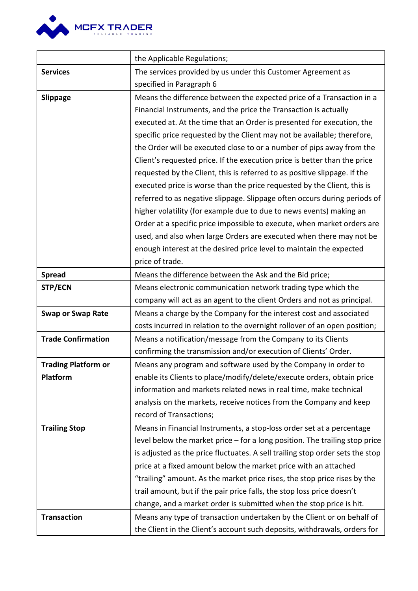

|                            | the Applicable Regulations;                                                   |
|----------------------------|-------------------------------------------------------------------------------|
| <b>Services</b>            | The services provided by us under this Customer Agreement as                  |
|                            | specified in Paragraph 6                                                      |
| Slippage                   | Means the difference between the expected price of a Transaction in a         |
|                            | Financial Instruments, and the price the Transaction is actually              |
|                            | executed at. At the time that an Order is presented for execution, the        |
|                            | specific price requested by the Client may not be available; therefore,       |
|                            | the Order will be executed close to or a number of pips away from the         |
|                            | Client's requested price. If the execution price is better than the price     |
|                            | requested by the Client, this is referred to as positive slippage. If the     |
|                            | executed price is worse than the price requested by the Client, this is       |
|                            | referred to as negative slippage. Slippage often occurs during periods of     |
|                            | higher volatility (for example due to due to news events) making an           |
|                            | Order at a specific price impossible to execute, when market orders are       |
|                            | used, and also when large Orders are executed when there may not be           |
|                            | enough interest at the desired price level to maintain the expected           |
|                            | price of trade.                                                               |
| <b>Spread</b>              | Means the difference between the Ask and the Bid price;                       |
| STP/ECN                    | Means electronic communication network trading type which the                 |
|                            | company will act as an agent to the client Orders and not as principal.       |
| <b>Swap or Swap Rate</b>   | Means a charge by the Company for the interest cost and associated            |
|                            | costs incurred in relation to the overnight rollover of an open position;     |
| <b>Trade Confirmation</b>  | Means a notification/message from the Company to its Clients                  |
|                            | confirming the transmission and/or execution of Clients' Order.               |
| <b>Trading Platform or</b> | Means any program and software used by the Company in order to                |
| Platform                   | enable its Clients to place/modify/delete/execute orders, obtain price        |
|                            | information and markets related news in real time, make technical             |
|                            | analysis on the markets, receive notices from the Company and keep            |
|                            | record of Transactions;                                                       |
| <b>Trailing Stop</b>       | Means in Financial Instruments, a stop-loss order set at a percentage         |
|                            | level below the market price - for a long position. The trailing stop price   |
|                            | is adjusted as the price fluctuates. A sell trailing stop order sets the stop |
|                            | price at a fixed amount below the market price with an attached               |
|                            | "trailing" amount. As the market price rises, the stop price rises by the     |
|                            | trail amount, but if the pair price falls, the stop loss price doesn't        |
|                            | change, and a market order is submitted when the stop price is hit.           |
| <b>Transaction</b>         | Means any type of transaction undertaken by the Client or on behalf of        |
|                            | the Client in the Client's account such deposits, withdrawals, orders for     |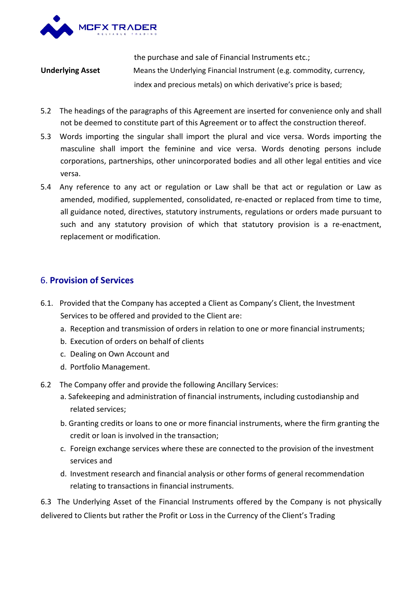

the purchase and sale of Financial Instruments etc.; **Underlying Asset** Means the Underlying Financial Instrument (e.g. commodity, currency, index and precious metals) on which derivative's price is based;

- 5.2 The headings of the paragraphs of this Agreement are inserted for convenience only and shall not be deemed to constitute part of this Agreement or to affect the construction thereof.
- 5.3 Words importing the singular shall import the plural and vice versa. Words importing the masculine shall import the feminine and vice versa. Words denoting persons include corporations, partnerships, other unincorporated bodies and allother legal entities and vice versa.
- 5.4 Any reference to any act or regulation or Law shall be that act or regulation or Law as amended, modified, supplemented, consolidated, re-enacted or replaced from time to time, all guidance noted, directives, statutory instruments, regulations or orders made pursuant to such and any statutory provision of which that statutory provision is a re-enactment, replacement or modification.

# 6. **Provision of Services**

- 6.1. Provided that the Company has accepted a Client as Company's Client, the Investment Services to be offered and provided to the Client are:
	- a. Reception and transmission of orders in relation to one or more financial instruments;
	- b. Execution of orders on behalf of clients
	- c. Dealing on Own Account and
	- d. Portfolio Management.
- 6.2 The Company offer and provide the following Ancillary Services:
	- a. Safekeeping and administration of financial instruments, including custodianship and related services;
	- b. Granting credits or loans to one or more financial instruments, where the firm granting the credit or loan is involved in the transaction;
	- c. Foreign exchange services where these are connected to the provision of the investment services and
	- d. Investment research and financial analysis or other forms of general recommendation relating to transactions in financial instruments.

6.3 The Underlying Asset of the Financial Instruments offered by the Company is not physically delivered to Clients but rather the Profit or Loss in the Currency of the Client's Trading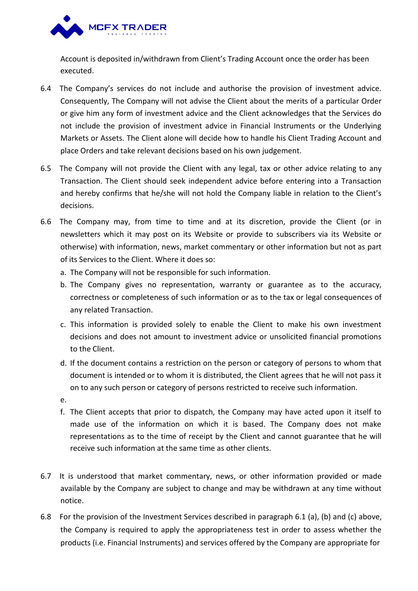

Account is deposited in/withdrawn from Client's Trading Account once the order has been executed.

- 6.4 The Company's services do not include and authorise the provision of investment advice. Consequently, The Company will not advise the Client about the merits of a particular Order or give him any form of investment advice and the Client acknowledges that the Services do not include the provision of investment advice in Financial Instruments or the Underlying Markets or Assets. The Client alone will decide how to handle his Client Trading Account and place Orders and take relevant decisions based on his own judgement.
- 6.5 The Company will not provide the Client with any legal, tax or other advice relating to any Transaction. The Client should seek independent advice before entering into a Transaction and hereby confirms that he/she will not hold the Company liable in relation to the Client's decisions.
- 6.6 The Company may, from time to time and at its discretion, provide the Client (or in newsletters which it may post on its Website or provide to subscribers via its Website or otherwise) with information, news, market commentary or other information but not as part of its Services to the Client. Where it does so:
	- a. The Company will not be responsible for such information.
	- b. The Company gives no representation, warranty or guarantee as to the accuracy, correctness or completeness of such information or as to the tax or legal consequences of
	- any related Transaction.<br>c. This information is provided solely to enable the Client to make his own investment decisions and does not amount to investment advice or unsolicited financial promotions to the Client.
	- d. If the document contains a restriction on the person or category of persons to whom that document is intended or to whom it is distributed, the Client agrees that he will not pass it on to any such person or category of persons restricted to receive such information.
	- e.
	- f. The Client accepts that prior to dispatch, the Company may have acted upon it itself to made use of the information on which it is based. The Company does not make representations as to the time of receipt by the Client and cannot guarantee that he will receive such information at the same time as other clients.
- 6.7 It is understood that market commentary, news, or other information provided or made available by the Company are subject to change and may be withdrawn at any time without notice.
- 6.8 For the provision of the Investment Services described in paragraph 6.1 (a), (b) and (c) above, the Company is required to apply the appropriateness test in order to assess whether the products (i.e. Financial Instruments) and services offered by the Company are appropriate for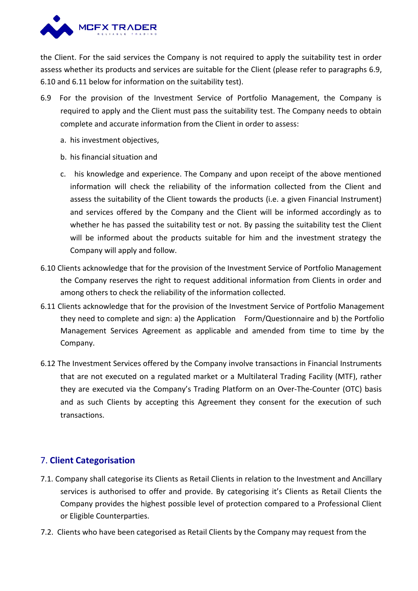

the Client. For the said services the Company is not required to apply the suitability test in order assess whether its products and services are suitable for the Client (please refer to paragraphs 6.9, 6.10 and 6.11 below for information on the suitability test).

- 6.9 For the provision of the Investment Service of Portfolio Management, the Company is required to apply and the Client must pass the suitability test. The Company needs to obtain complete and accurate information from the Client in order to assess:
	- a. his investment objectives,
	- b. his financial situation and
	- c. his knowledge and experience. The Company and upon receipt of the above mentioned information will check the reliability of the information collected from the Client and assess the suitability of the Client towards the products (i.e. a given Financial Instrument) and services offered by the Company and the Client will be informed accordingly as to whether he has passed the suitability test or not. By passing the suitability test the Client will be informed about the products suitable for him and the investment strategy the Company will apply and follow.
- 6.10 Clients acknowledge that for the provision of the Investment Service of Portfolio Management the Company reserves the right to request additional information from Clients in order and among others to check the reliability of the information collected.
- 6.11 Clients acknowledge that for the provision of the Investment Service of Portfolio Management they need to complete and sign: a) the Application Form/Questionnaire and b) the Portfolio Management Services Agreement as applicable and amended from time to time by the Company.
- 6.12 The Investment Services offered by the Company involve transactions in Financial Instruments that are not executed on a regulated market or a Multilateral Trading Facility (MTF), rather they are executed via the Company's Trading Platform on an Over-The-Counter (OTC) basis and as such Clients by accepting this Agreement they consent for the execution of such transactions.

# 7. **Client Categorisation**

- 7.1. Company shall categorise its Clients as Retail Clients in relation to the Investment and Ancillary services is authorised to offer and provide. By categorising it's Clients as Retail Clients the Company provides the highest possible level of protection compared to a Professional Client or Eligible Counterparties.
- 7.2. Clients who have been categorised as Retail Clients by the Company may request from the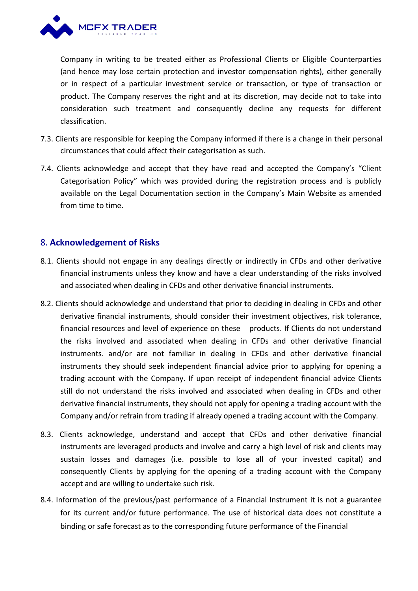

Company in writing to be treated either as Professional Clients or Eligible Counterparties (and hence may lose certain protection and investor compensation rights), either generally or in respect of a particular investment service or transaction, or type of transaction or product. The Company reserves the right and at its discretion, may decide not to take into consideration such treatment and consequently decline any requests for different classification.

- 7.3. Clients are responsible for keeping the Company informed if there is a change in their personal circumstances that could affect their categorisation as such.
- 7.4. Clients acknowledge and accept that they have read and accepted the Company's "Client Categorisation Policy" which was provided during the registration process and is publicly available on the Legal Documentation section in the Company's Main Website as amended from time to time.

# 8. **Acknowledgement of Risks**

- 8.1. Clients should not engage in any dealings directly or indirectly in CFDs and other derivative financial instruments unless they know and havea clear understanding of the risks involved and associated when dealing in CFDs and other derivative financial instruments.
- 8.2. Clients should acknowledge and understand that prior to deciding in dealing in CFDs and other derivative financial instruments, should consider their investment objectives, risk tolerance, financial resources and level of experience on these products. If Clients do not understand the risks involved and associated when dealing in CFDs and other derivative financial instruments. and/or are not familiar in dealing in CFDs and other derivative financial instruments they should seek independent financial advice prior to applying for opening a trading account with the Company. If upon receipt of independent financial advice Clients still do not understand the risks involved and associated when dealing in CFDs and other derivative financial instruments, they should not apply for opening a trading account with the Company and/or refrain from trading if already opened a trading account with the Company.
- 8.3. Clients acknowledge, understand and accept that CFDs and other derivative financial instruments are leveraged products and involve and carry a high level of risk and clients may sustain losses and damages (i.e. possible to lose all of your invested capital) and consequently Clients by applying for the opening of a trading account with the Company accept and are willing to undertake such risk.
- 8.4. Information of the previous/past performance of a Financial Instrument it is not a guarantee for its current and/or future performance. The use of historical data does not constitute a binding or safe forecast as to the corresponding future performance of the Financial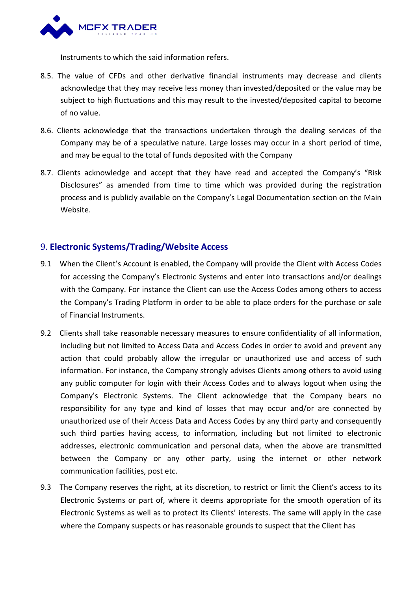

Instruments to which the said information refers.

- 8.5. The value of CFDs and other derivative financial instruments may decrease and clients acknowledge that they may receive less money than invested/deposited or the value may be subject to high fluctuations and this may result to the invested/deposited capital to become of no value.
- 8.6. Clients acknowledge that the transactions undertaken through the dealing services of the Company may be of a speculative nature. Large losses may occur in a short period of time, and may be equal to the total of funds deposited with the Company
- 8.7. Clients acknowledge and accept that they have read and accepted the Company's "Risk Disclosures" as amended from time to time which was provided during the registration process and is publicly available on the Company's Legal Documentation section on the Main Website.

### 9. **Electronic Systems/Trading/Website Access**

- 9.1 When the Client's Account is enabled, the Company will provide the Client with Access Codes for accessing the Company's Electronic Systems and enter into transactions and/or dealings with the Company. For instance the Client can use the Access Codes among others to access the Company's Trading Platform in order to be able to place orders for the purchase or sale of Financial Instruments.
- 9.2 Clients shall take reasonable necessary measures to ensure confidentiality of all information, including but not limited to Access Data and Access Codes in order to avoid and prevent any action that could probably allow the irregular or unauthorized use and access of such information. For instance, the Company strongly advises Clients among others to avoid using any public computer for login with their Access Codes and to always logout when using the Company's Electronic Systems. The Client acknowledge that the Company bears no responsibility for any type and kind of losses that may occur and/or are connected by unauthorized use of their Access Data and Access Codes by any third party and consequently such third parties having access, to information, including but not limited to electronic addresses, electronic communication and personal data, when the above are transmitted between the Company or any other party, using the internet or other network communication facilities, post etc.
- 9.3 The Company reserves the right, at its discretion, to restrict or limit the Client's access to its Electronic Systems or part of, where it deems appropriate for the smooth operation of its Electronic Systems as well as to protect its Clients' interests. The same will apply in the case where the Company suspects or has reasonable grounds to suspect that the Client has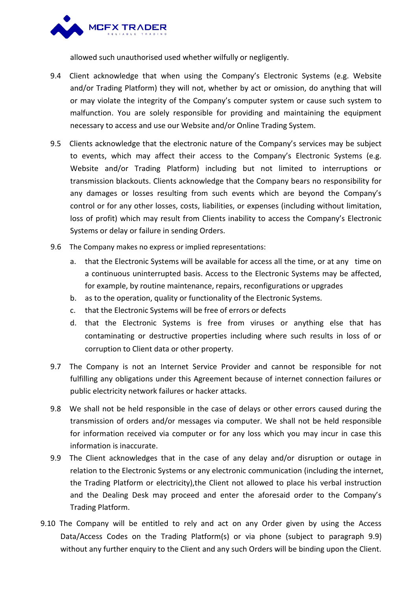

allowed such unauthorised used whether wilfully or negligently.

- 9.4 Client acknowledge that when using the Company's Electronic Systems (e.g. Website and/or Trading Platform) they will not, whether by act or omission, do anything that will or may violate the integrity of the Company's computer system or cause such system to malfunction. You are solely responsible for providing and maintaining the equipment necessary to access and use our Website and/or Online Trading System.
- 9.5 Clients acknowledge that the electronic nature of the Company's services may be subject to events, which may affect their access to the Company's Electronic Systems (e.g. Website and/or Trading Platform) including but not limited to interruptions or transmission blackouts. Clients acknowledge that the Company bears no responsibility for any damages or losses resulting from such events which are beyond the Company's control or for any other losses, costs, liabilities, or expenses (including without limitation, loss of profit) which may result from Clients inability to access the Company's Electronic Systems or delay or failure in sending Orders.
- 9.6 The Company makes no express or implied representations:
	- a. that the Electronic Systems will be available for access all the time, or at any time on a continuous uninterrupted basis. Access to the Electronic Systems may be affected, for example, by routine maintenance, repairs, reconfigurations or upgrades
	- b. as to the operation, quality or functionality of the Electronic Systems.
	- c. that the Electronic Systems will be free of errors or defects
	- d. that the Electronic Systems is free from viruses or anything else that has contaminating or destructive properties including where such results in loss of or corruption to Client data or other property.
- 9.7 The Company is not an Internet Service Provider and cannot be responsible for not fulfilling any obligations under this Agreement because of internet connection failures or public electricity network failures or hacker attacks.
- 9.8 We shall not be held responsible in the case of delays or other errors caused during the transmission of orders and/or messages via computer. We shall not be held responsible for information received via computer or for any loss which you may incur in case this information is inaccurate.
- 9.9 The Client acknowledges that in the case of any delay and/or disruption or outage in relation to the Electronic Systems or any electronic communication (including the internet, the Trading Platform or electricity),the Client not allowed to place his verbal instruction and the Dealing Desk may proceed and enter the aforesaid order to the Company's Trading Platform.
- 9.10 The Company will be entitled to rely and act on any Order given by using the Access Data/Access Codes on the Trading Platform(s) or via phone (subject to paragraph 9.9) without any further enquiry to the Client and any such Orders will be binding upon the Client.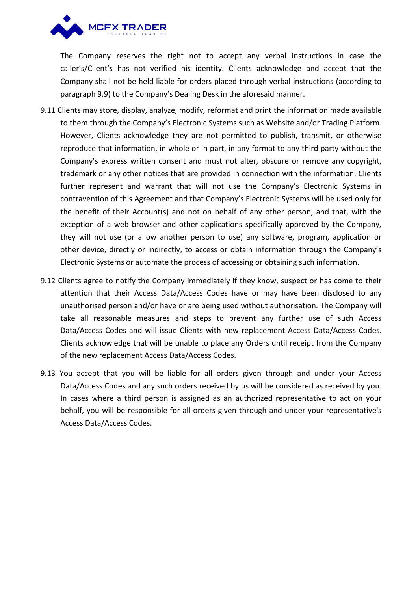

The Company reserves the right not to accept any verbal instructions in case the caller's/Client's has not verified his identity. Clients acknowledge and accept that the Company shall not be held liable for orders placed through verbal instructions (according to paragraph 9.9) to the Company's Dealing Desk in the aforesaid manner.

- 9.11 Clients may store, display, analyze, modify, reformat and print the information made available to them through the Company's Electronic Systems such as Website and/or Trading Platform. However, Clients acknowledge they are not permitted to publish, transmit, or otherwise reproduce that information, in whole or in part, in any format to any third party without the Company's express written consent and must not alter, obscure or remove any copyright, trademark or any other notices that are provided in connection with the information. Clients further represent and warrant that will not use the Company's Electronic Systems in contravention of this Agreement and that Company's Electronic Systems will be used only for the benefit of their Account(s) and not on behalf of any other person, and that, with the exception of a web browser and other applications specifically approved by the Company, they will not use (or allow another person to use) any software, program, application or other device, directly or indirectly, to access or obtain information through the Company's Electronic Systems or automate the process of accessing or obtaining such information.
- 9.12 Clients agree to notify the Company immediately if they know, suspect or has come to their attention that their Access Data/Access Codes have or may have been disclosed to any unauthorised person and/or have or are being used without authorisation. The Company will take all reasonable measures and steps to prevent any further use of such Access Data/Access Codes and will issue Clients with new replacement Access Data/Access Codes. Clients acknowledge that will be unable to place any Orders until receipt from the Company of the new replacement Access Data/Access Codes.
- 9.13 You accept that you will be liable for all orders given through and under your Access Data/Access Codes and any such orders received by us will be considered as received by you. In cases where a third person is assigned as an authorized representative to act on your behalf, you will be responsible for all orders given through and under your representative's Access Data/Access Codes.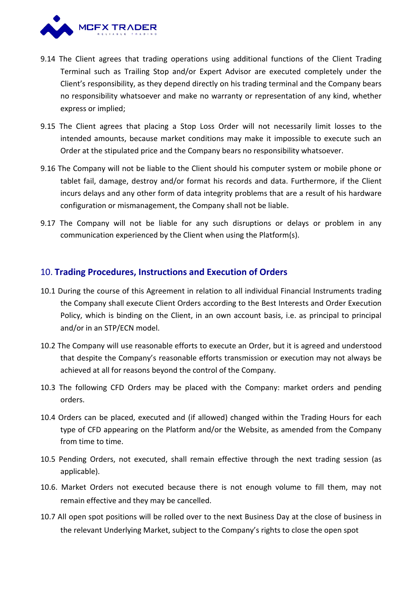

- 9.14 The Client agrees that trading operations using additional functions of the Client Trading Terminal such as Trailing Stop and/or Expert Advisor are executed completely under the Client's responsibility, as they depend directly on his trading terminal and the Company bears no responsibility whatsoever and make no warranty or representation of any kind, whether express or implied;
- 9.15 The Client agrees that placing a Stop Loss Order will not necessarily limit losses to the intended amounts, because market conditions may make it impossible to execute such an Order at the stipulated price and the Company bears no responsibility whatsoever.
- 9.16 The Company will not be liable to the Client should his computer system or mobile phone or tablet fail, damage, destroy and/or format his records and data. Furthermore, if the Client incurs delays and any other form of data integrity problems that are a result of his hardware configuration or mismanagement, the Company shall not be liable.
- 9.17 The Company will not be liable for any such disruptions or delays or problem in any communication experienced by the Client when using the Platform(s).

### 10. **Trading Procedures, Instructions and Execution of Orders**

- 10.1 During the course of this Agreement in relation to all individual Financial Instruments trading the Company shall execute Client Orders according to the Best Interests and Order Execution Policy, which is binding on the Client, in an own account basis, i.e. as principal to principal and/or in an STP/ECN model.
- 10.2 The Company will use reasonable efforts to execute an Order, but it is agreed and understood that despite the Company's reasonable efforts transmission or execution may not always be achieved at all for reasons beyond the control of the Company.
- 10.3 The following CFD Orders may be placed with the Company: market orders and pending orders.
- 10.4 Orders can be placed, executed and (if allowed) changed within the Trading Hours for each type of CFD appearing on the Platform and/or the Website, as amended from the Company from time to time.
- 10.5 Pending Orders, not executed, shall remain effective through the next trading session (as applicable).
- 10.6. Market Orders not executed because there is not enough volume to fill them, may not remain effective and they may be cancelled.
- 10.7 All open spot positions will be rolled over to the next Business Day at the close of business in the relevant Underlying Market, subject to the Company's rights to close the open spot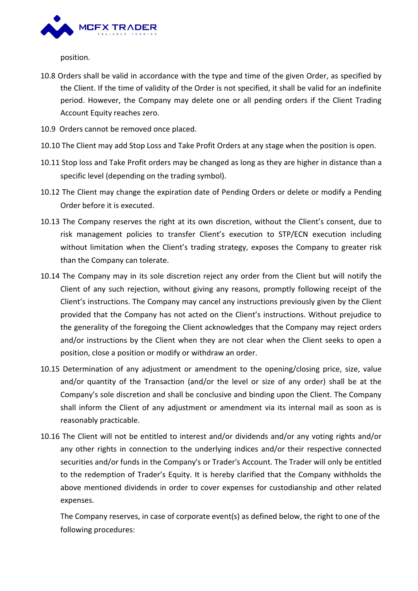

position.

- 10.8 Orders shall be valid in accordance with the type and time of the given Order, as specified by the Client. If the time of validity of the Order is not specified, it shall be valid for an indefinite period. However, the Company may delete one or all pending orders if the Client Trading Account Equity reaches zero.
- 10.9 Orders cannot be removed once placed.
- 
- 10.10 The Client may add Stop Loss and Take Profit Orders at any stage when the position is open.<br>10.11 Stop loss and Take Profit orders may be changed as long as they are higher in distance than a specific level (depending on the trading symbol).
- 10.12 The Client may change the expiration date of Pending Orders or delete or modify a Pending Order before it is executed.
- 10.13 The Company reserves the right at its own discretion, without the Client's consent, due to risk management policies to transfer Client's execution to STP/ECN execution including without limitation when the Client's trading strategy, exposes the Company to greater risk than the Company can tolerate.
- 10.14 The Company may in its sole discretion reject any order from the Client but will notify the Client of any such rejection, without giving any reasons, promptly following receipt of the Client's instructions. The Company may cancel any instructions previously given by the Client provided that the Company has not acted on the Client's instructions. Without prejudice to the generality of the foregoing the Client acknowledges that the Company may reject orders and/or instructions by the Client when they are not clear when the Client seeks to open a position, close a position or modify or withdraw an order.
- 10.15 Determination of any adjustment or amendment to the opening/closing price, size, value and/or quantity of the Transaction (and/or the level or size of any order) shall be at the Company's sole discretion and shall be conclusive and binding upon the Client. The Company shall inform the Client of any adjustment or amendment via its internal mail as soon as is reasonably practicable.
- 10.16 The Client will not be entitled to interest and/or dividends and/or any voting rights and/or any other rights in connection to the underlying indices and/or their respective connected securities and/or funds in the Company's or Trader's Account. The Trader will only be entitled to the redemption of Trader's Equity. It is hereby clarified that the Company withholds the above mentioned dividends in order to cover expenses for custodianship and other related expenses.

The Company reserves, in case of corporate event(s) as defined below, the right to one of the following procedures: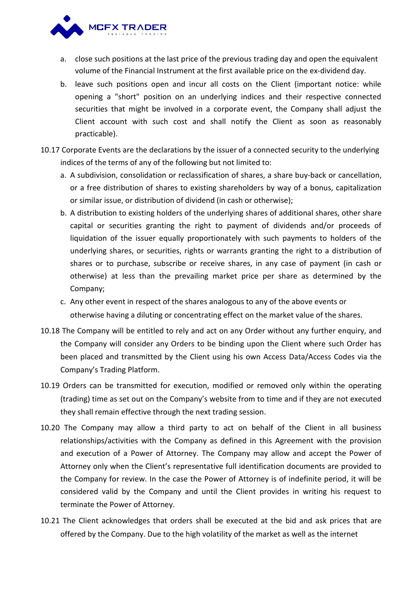

- a. close such positions at the last price of the previous trading day and open the equivalent volume of the Financial Instrument at the first available price on the ex-dividend day.
- b. leave such positions open and incur all costs on the Client (important notice: while opening a "short" position on an underlying indices and their respective connected securities that might be involved in a corporate event, the Company shall adjust the Client account with such cost and shall notify the Client as soon as reasonably practicable).
- 10.17 Corporate Events are the declarations by the issuer of a connected security to the underlying indices of the terms of any of the following but not limited to:
	- a. A subdivision, consolidation or reclassification of shares, a share buy-back or cancellation, or a free distribution of shares to existing shareholders by way of a bonus, capitalization or similar issue, or distribution of dividend (in cash or otherwise);
	- b. A distribution to existing holders of the underlying shares of additional shares, other share capital or securities granting the right to payment of dividends and/or proceeds of liquidation of the issuer equally proportionately with such payments to holders of the underlying shares, or securities, rights or warrants granting the right to a distribution of shares or to purchase, subscribe or receive shares, in any case of payment (in cash or otherwise) at less than the prevailing market price per share as determined by the Company;
	- c. Any other event in respect of the shares analogous to any of the above events or otherwise having a diluting or concentrating effect on the market value of the shares.
- 10.18 The Company will be entitled to rely and act on any Order without any further enquiry, and the Company will consider any Orders to be binding upon the Client where such Order has been placed and transmitted by the Client using his own Access Data/Access Codes via the Company's Trading Platform.
- 10.19 Orders can be transmitted for execution, modified or removed only within the operating (trading) time as set out on the Company's website from to time and if they are not executed they shall remain effective through the next trading session.
- 10.20 The Company may allow a third party to act on behalf of the Client in all business relationships/activities with the Company as defined in this Agreement with the provision and execution of a Power of Attorney. The Company may allow and accept the Power of Attorney only when the Client's representative full identification documents are provided to the Company for review. In the case the Power of Attorney is of indefinite period, it will be considered valid by the Company and until the Client provides in writing his request to terminate the Power of Attorney.
- 10.21 The Client acknowledges that orders shall be executed at the bid and ask prices that are offered by the Company. Due to the high volatility of the market as well as the internet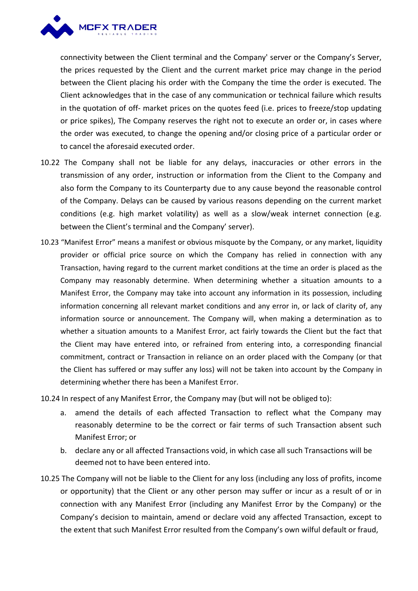

connectivity between the Client terminal and the Company' server or the Company's Server, the prices requested by the Client and the current market price may change in the period between the Client placing his order with the Company the time the order is executed. The Client acknowledges that in the case of any communication or technical failure which results in the quotation of off- market prices on the quotes feed (i.e. prices to freeze/stop updating or price spikes), The Company reserves the right not to execute an order or, in cases where the order was executed, to change the opening and/or closing price of a particular order or to cancel the aforesaid executed order.

- 10.22 The Company shall not be liable for any delays, inaccuracies or other errors in the transmission of any order, instruction or information from the Client to the Company and also form the Company to its Counterparty due to any cause beyond the reasonable control of the Company. Delays can be caused by various reasons depending on the current market conditions (e.g. high market volatility) as well as a slow/weak internet connection (e.g. between the Client's terminal and the Company' server).
- 10.23 "Manifest Error" means a manifest or obvious misquote by the Company, or any market, liquidity provider or official price source on which the Company has relied in connection with any Transaction, having regard to the current market conditions atthe time an order is placed as the Company may reasonably determine. When determining whether a situation amounts to a Manifest Error, the Company may take into account any information in its possession, including information concerning all relevant market conditions and any error in, or lack of clarity of, any information source or announcement. The Company will, when making a determination as to whether a situation amounts to a Manifest Error, act fairly towards the Client but the fact that the Client may have entered into, or refrained from entering into, a corresponding financial commitment, contract or Transaction in reliance on an order placed with the Company (or that the Client has suffered or may suffer any loss) will not be taken into account by the Company in determining whether there has been a Manifest Error.

10.24 In respect of any Manifest Error, the Company may (but will not be obliged to):

- a. amend the details of each affected Transaction to reflect what the Company may reasonably determine to be the correct or fair terms of such Transaction absent such Manifest Error; or
- b. declare any orall affected Transactions void, in which case all such Transactions will be deemed not to have been entered into.
- 10.25 The Company will not be liable to the Client for any loss (including any loss of profits, income or opportunity) that the Client or any other person may suffer or incur as a result of or in connection with any Manifest Error (including any Manifest Error by the Company) or the Company's decision to maintain, amend or declare void any affected Transaction, except to the extent that such Manifest Error resulted from the Company's own wilful default or fraud,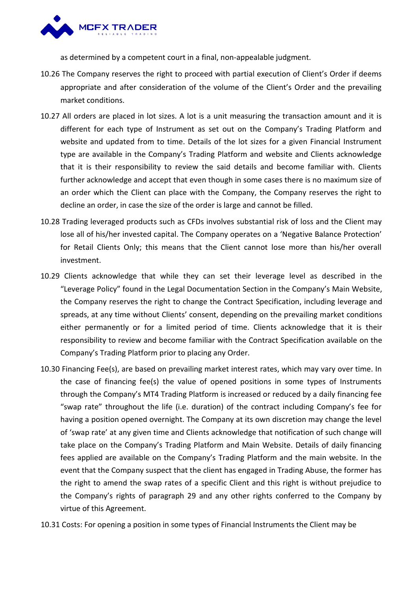

as determined by a competent court in a final, non-appealable judgment.

- 10.26 The Company reserves the right to proceed with partial execution of Client's Order if deems appropriate and after consideration of the volume of the Client's Order and the prevailing market conditions.
- 10.27 All orders are placed in lot sizes. A lot is a unit measuring the transaction amount and it is different for each type of Instrument as set out on the Company's Trading Platform and website and updated from to time. Details of the lot sizes for a given Financial Instrument type are available in the Company's Trading Platform and website and Clients acknowledge that it is their responsibility to review the said details and become familiar with. Clients further acknowledge and accept that even though in some cases there is no maximum size of an order which the Client can place with the Company, the Company reserves the right to decline an order, in case the size of the order is large and cannot be filled.
- 10.28 Trading leveraged products such as CFDs involves substantial risk of loss and the Client may lose all of his/her invested capital. The Company operates on a 'Negative Balance Protection' for Retail Clients Only; this means that the Client cannot lose more than his/her overall investment.
- 10.29 Clients acknowledge that while they can set their leverage level as described in the "Leverage Policy" found in the Legal Documentation Section in the Company's Main Website, the Company reserves the right to change the Contract Specification, including leverage and spreads, at any time without Clients' consent, depending on the prevailing market conditions either permanently or for a limited period of time. Clients acknowledge that it is their responsibility to review and become familiar with the Contract Specification available on the Company's Trading Platform prior to placing any Order.
- 10.30 Financing Fee(s), are based on prevailing market interest rates, which may vary over time. In the case of financing fee(s) the value of opened positions in some types of Instruments through the Company's MT4 Trading Platform is increased or reduced by a daily financing fee "swap rate" throughout the life (i.e. duration) of the contract including Company's fee for having a position opened overnight. The Company at its own discretion may change the level of 'swap rate' at any given time and Clients acknowledge that notification of such change will take place on the Company's Trading Platform and Main Website. Details of daily financing fees applied are available on the Company's Trading Platform and the main website. In the event that the Company suspect that the client has engaged in Trading Abuse, the former has the right to amend the swap rates of a specific Client and this right is without prejudice to the Company's rights of paragraph 29 and any other rights conferred to the Company by virtue of this Agreement.
- 10.31 Costs: For opening a position in some types of Financial Instruments the Client may be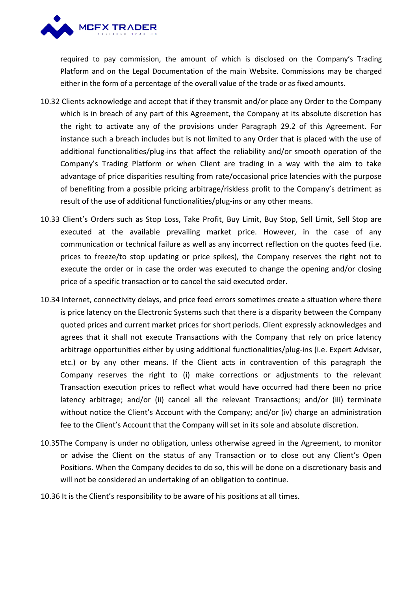

required to pay commission, the amount of which is disclosed on the Company's Trading Platform and on the Legal Documentation of the main Website. Commissions may be charged either in the form of a percentage of the overall value of the trade or as fixed amounts.

- 10.32 Clients acknowledge and accept that if they transmit and/or place any Order to the Company which is in breach of any part of this Agreement, the Company at its absolute discretion has the right to activate any of the provisions under Paragraph 29.2 of this Agreement. For instance such a breach includes but is not limited to any Order that is placed with the use of additional functionalities/plug-ins that affect the reliability and/or smooth operation of the Company's Trading Platform or when Client are trading in a way with the aim to take advantage of price disparities resulting from rate/occasional price latencies with the purpose of benefiting from a possible pricing arbitrage/riskless profit to the Company's detriment as result of the use of additional functionalities/plug-ins or any other means.
- 10.33 Client's Orders such as Stop Loss, Take Profit, Buy Limit, Buy Stop, Sell Limit, Sell Stop are executed at the available prevailing market price. However, in the case of any communication or technical failure as well as any incorrect reflection on the quotes feed (i.e. prices to freeze/to stop updating or price spikes), the Company reserves the right not to execute the order or in case the order was executed to change the opening and/or closing price of a specific transaction or to cancel the said executed order.
- 10.34 Internet, connectivity delays, and price feed errors sometimes create a situation where there is price latency on the Electronic Systems such that there is a disparity between the Company quoted prices and current market prices for short periods. Client expressly acknowledges and agrees that it shall not execute Transactions with the Company that rely on price latency arbitrage opportunities either by using additional functionalities/plug-ins (i.e. Expert Adviser, etc.) or by any other means. If the Client acts in contravention of this paragraph the Company reserves the right to (i) make corrections or adjustments to the relevant Transaction execution prices to reflect what would have occurred had there been no price latency arbitrage; and/or (ii) cancel all the relevant Transactions; and/or (iii) terminate without notice the Client's Account with the Company; and/or (iv) charge an administration fee to the Client's Account that the Company will set in its sole and absolute discretion.
- 10.35The Company is under no obligation, unless otherwise agreed in the Agreement, to monitor or advise the Client on the status of any Transaction or to close out any Client's Open Positions. When the Company decides to do so, this will be done on a discretionary basis and will not be considered an undertaking of an obligation to continue.<br>10.36 It is the Client's responsibility to be aware of his positions at all times.
-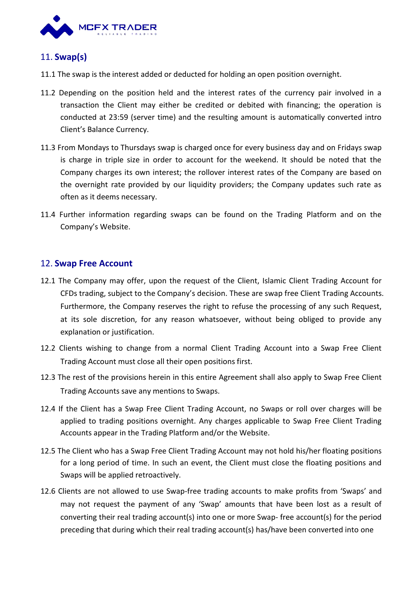

# 11. **Swap(s)**

- 11.1 The swap is the interest added or deducted for holding an open position overnight.
- 11.2 Depending on the position held and the interest rates of the currency pair involved in a transaction the Client may either be credited or debited with financing; the operation is conducted at 23:59 (server time) and the resulting amount is automatically converted intro Client's Balance Currency.
- 11.3 From Mondays to Thursdays swap is charged once for every business day and on Fridays swap is charge in triple size in order to account for the weekend. It should be noted that the Company charges its own interest; the rollover interest rates of the Company are based on the overnight rate provided by our liquidity providers; the Company updates such rate as often as it deems necessary.
- 11.4 Further information regarding swaps can be found on the Trading Platform and on the Company's Website.

# 12. **Swap Free Account**

- 12.1 The Company may offer, upon the request of the Client, Islamic Client Trading Account for CFDs trading, subject to the Company's decision. These are swap free Client Trading Accounts. Furthermore, the Company reserves the right to refuse the processing of any such Request, at its sole discretion, for any reason whatsoever, without being obliged to provide any explanation or justification.
- 12.2 Clients wishing to change from a normal Client Trading Account into a Swap Free Client Trading Account must close all their open positions first.
- 12.3 The rest of the provisions herein in this entire Agreement shall also apply to Swap Free Client Trading Accounts save any mentions to Swaps.
- 12.4 If the Client has a Swap Free Client Trading Account, no Swaps or roll over charges will be applied to trading positions overnight. Any charges applicable to Swap Free Client Trading Accounts appear in the Trading Platform and/or the Website.
- 12.5 The Client who has a Swap Free Client Trading Account may not hold his/her floating positions for a long period of time. In such an event, the Client must close the floating positions and Swaps will be applied retroactively.
- 12.6 Clients are not allowed to use Swap-free trading accounts to make profits from 'Swaps' and may not request the payment of any 'Swap' amounts that have been lost as a result of converting their real trading account(s) into one or more Swap- free account(s) for the period preceding that during which their real trading account(s) has/have been converted into one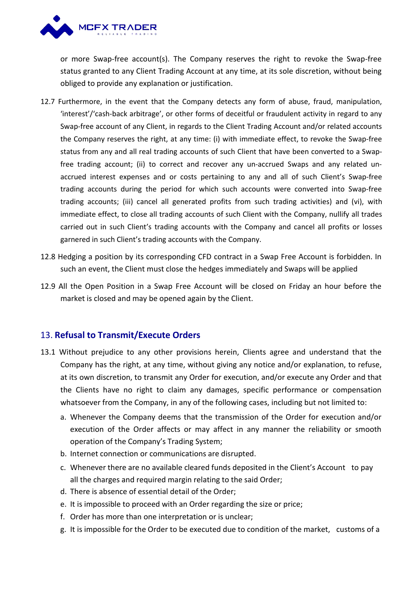

or more Swap-free account(s). The Company reserves the right to revoke the Swap-free status granted to any Client Trading Account at any time, at its sole discretion, without being obliged to provide any explanation or justification.

- 12.7 Furthermore, in the event that the Company detects any form of abuse, fraud, manipulation, 'interest'/'cash-back arbitrage', or other forms of deceitful or fraudulent activity in regard to any Swap-free account of any Client, in regards to the Client Trading Account and/or related accounts the Company reserves the right, at any time: (i) with immediate effect, to revoke the Swap-free status from any and all real trading accounts of such Client that have been converted to a Swapfree trading account; (ii) to correct and recover any un-accrued Swaps and any related un accrued interest expenses and or costs pertaining to any and all of such Client's Swap-free trading accounts during the period for which such accounts were converted into Swap-free trading accounts; (iii) cancel all generated profits from such trading activities) and (vi), with immediate effect, to close all trading accounts of such Client with the Company, nullify all trades carried out in such Client's trading accounts with the Company and cancel all profits or losses garnered in such Client's trading accounts with the Company.
- 12.8 Hedging a position by its corresponding CFD contract in a Swap Free Account is forbidden. In such an event, the Client must close the hedges immediately and Swaps will be applied
- 12.9 All the Open Position in a Swap Free Account will be closed on Friday an hour before the market is closed and may be opened again by the Client.

# 13. **Refusal to Transmit/Execute Orders**

- 13.1 Without prejudice to any other provisions herein, Clients agree and understand that the Company has the right, at any time, without giving any notice and/or explanation, to refuse, at its own discretion, to transmit any Order for execution, and/or execute any Order and that the Clients have no right to claim any damages, specific performance or compensation whatsoever from the Company, in any of the following cases, including but not limited to:
	- a. Whenever the Company deems that the transmission of the Order for execution and/or execution of the Order affects or may affect in any manner the reliability or smooth operation of the Company's Trading System;
	- b. Internet connection or communications are disrupted.
	- c. Whenever there are no available cleared funds deposited in the Client's Account to pay all the charges and required margin relating to the said Order;
	- d. There is absence of essential detail of the Order;
	- e. It is impossible to proceed with an Order regarding the size or price;
	- f. Order has more than one interpretation or is unclear;
	- g. It is impossible for the Order to be executed due to condition of the market, customs of a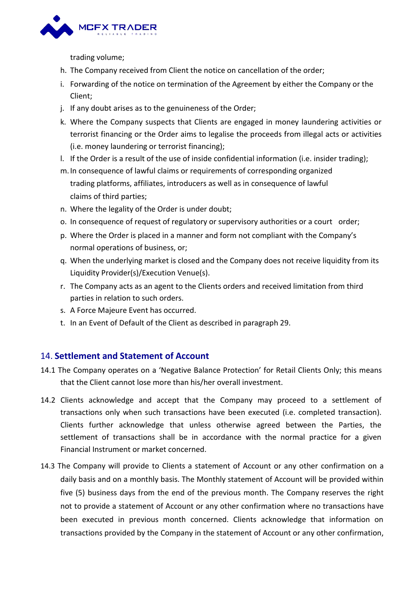

trading volume;

- h. The Company received from Client the notice on cancellation of the order;
- i. Forwarding of the notice on termination of the Agreement by either the Company or the Client;
- j. If any doubt arises as to the genuineness of the Order;
- k. Where the Company suspects that Clients are engaged in money laundering activities or terrorist financing or the Order aims to legalise the proceeds from illegal acts or activities (i.e. money laundering or terrorist financing);
- l. If the Order is a result of the use of inside confidentialinformation (i.e. insider trading);
- m.In consequence of lawful claims or requirements of corresponding organized trading platforms, affiliates, introducers as well as in consequence of lawful claims of third parties;
- n. Where the legality of the Order is under doubt;
- o. In consequence of request of regulatory or supervisory authorities or a court order;
- p. Where the Order is placed in a manner and form not compliant with the Company's normal operations of business, or;
- q. When the underlying market is closed and the Company does not receive liquidity from its Liquidity Provider(s)/Execution Venue(s).
- r. The Company acts as an agent to the Clients orders and received limitation from third parties in relation to such orders.<br>s. A Force Majeure Event has occurred.
- 
- t. In an Event of Default of the Client as described in paragraph 29.

# 14. **Settlement and Statement of Account**

- 14.1 The Company operates on a 'Negative Balance Protection' for Retail Clients Only; this means that the Client cannot lose more than his/her overall investment.
- 14.2 Clients acknowledge and accept that the Company may proceed to a settlement of transactions only when such transactions have been executed (i.e. completed transaction). Clients further acknowledge that unless otherwise agreed between the Parties, the settlement of transactions shall be in accordance with the normal practice for a given Financial Instrument or market concerned.
- 14.3 The Company will provide to Clients a statement of Account or any other confirmation on a daily basis and on a monthly basis. The Monthly statement of Account will be provided within five (5) business days from the end of the previous month. The Company reserves the right not to provide a statement of Account or any other confirmation where no transactions have been executed in previous month concerned. Clients acknowledge that information on transactions provided by the Company in the statement of Account or any other confirmation,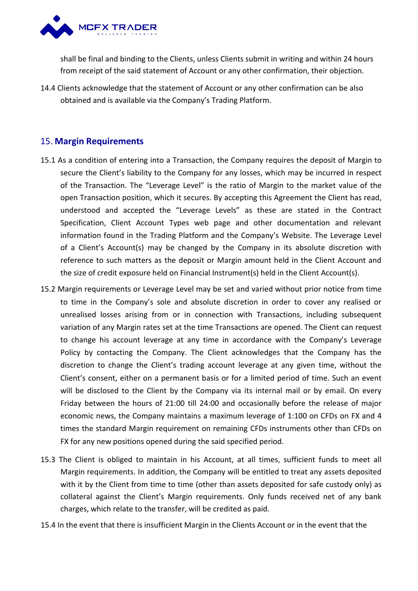

shall be final and binding to the Clients, unless Clients submit in writing and within 24 hours from receipt of the said statement of Account or any other confirmation, their objection.

14.4 Clients acknowledge that the statement of Account or any other confirmation can be also obtained and is available via the Company's Trading Platform.

# 15. **Margin Requirements**

- 15.1 As a condition of entering into a Transaction, the Company requires the deposit of Margin to secure the Client's liability to the Company for any losses, which may be incurred in respect of the Transaction. The "Leverage Level" is the ratio of Margin to the market value of the open Transaction position, which it secures. By accepting this Agreement the Client has read, understood and accepted the "Leverage Levels" as these are stated in the Contract Specification, Client Account Types web page and other documentation and relevant information found in the Trading Platform and the Company's Website. The Leverage Level of a Client's Account(s) may be changed bythe Company in its absolute discretion with reference to such matters as the deposit or Margin amount held in the Client Account and the size of credit exposure held on Financial Instrument(s) held in the Client Account(s).
- 15.2 Margin requirements or Leverage Level may be set and varied without prior notice from time to time in the Company's sole and absolute discretion in order to cover any realised or unrealised losses arising from or in connection with Transactions, including subsequent variation of any Margin rates set at the time Transactions are opened. The Client can request to change his account leverage at any time in accordance with the Company's Leverage Policy by contacting the Company. The Client acknowledges that the Company has the discretion to change the Client's trading account leverage at any given time, without the Client's consent, either on a permanent basis or for a limited period of time. Such an event will be disclosed to the Client by the Company via its internal mail or by email. On every Friday between the hours of 21:00 till 24:00 and occasionally before the release of major economic news, the Company maintains a maximum leverage of 1:100 on CFDs on FX and 4 times the standard Margin requirement on remaining CFDs instruments other than CFDs on FX for any new positions opened during the said specified period.
- 15.3 The Client is obliged to maintain in his Account, at all times, sufficient funds to meet all Margin requirements. In addition, the Company will be entitled to treat any assets deposited with it by the Client from time to time (other than assets deposited for safe custody only) as collateral against the Client's Margin requirements. Only funds received net of any bank charges, which relate to the transfer, will be credited as paid.
- 15.4 In the event that there is insufficient Margin in the Clients Account or in the event that the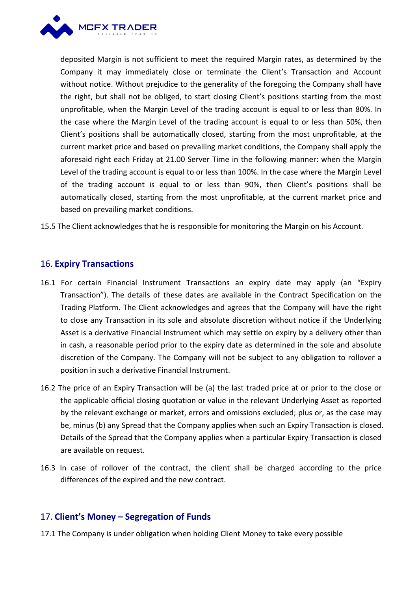

deposited Margin is not sufficient to meet the required Margin rates, as determined by the Company it may immediately close or terminate the Client's Transaction and Account without notice. Without prejudice to the generality of the foregoing the Company shall have the right, but shall not be obliged, to start closing Client's positions starting from the most unprofitable, when the Margin Level of the trading account is equal to or less than 80%. In the case where the Margin Level of the trading account is equal to or less than 50%, then Client's positions shall be automatically closed, starting from the most unprofitable, at the current market price and based on prevailing market conditions, the Company shall apply the aforesaid right each Friday at 21.00 Server Time in the following manner: when the Margin Level of the trading account is equal to or less than 100%. In the case where the Margin Level of the trading account is equal to or less than 90%, then Client's positions shall be automatically closed, starting from the most unprofitable, at the current market price and based on prevailing market conditions.

15.5 The Client acknowledges that he is responsible for monitoring the Margin on his Account.

### 16. **Expiry Transactions**

- 16.1 For certain Financial Instrument Transactions an expiry date may apply (an "Expiry Transaction"). The details of these dates are available in the Contract Specification on the Trading Platform. The Client acknowledges and agrees that the Company will have the right to close any Transaction in its sole and absolute discretion without notice if the Underlying Asset is a derivative Financial Instrument which may settle on expiry by a delivery other than in cash, a reasonable period prior to the expiry date as determined in the sole and absolute discretion of the Company. The Company will not be subject to any obligation to rollover a position in such a derivative Financial Instrument.
- 16.2 The price of an Expiry Transaction will be (a) the last traded price at or prior to the close or the applicable official closing quotation or value in the relevant Underlying Asset as reported by the relevant exchange or market, errors and omissions excluded; plus or, as the case may be, minus (b) any Spread that the Company applies when such an Expiry Transaction is closed. Details of the Spread that the Company applies when a particular Expiry Transaction is closed are available on request.
- 16.3 In case of rollover of the contract, the client shall be charged according to the price differences of the expired and the new contract.

#### 17. **Client's Money – Segregation of Funds**

17.1 The Company is under obligation when holding Client Money to take every possible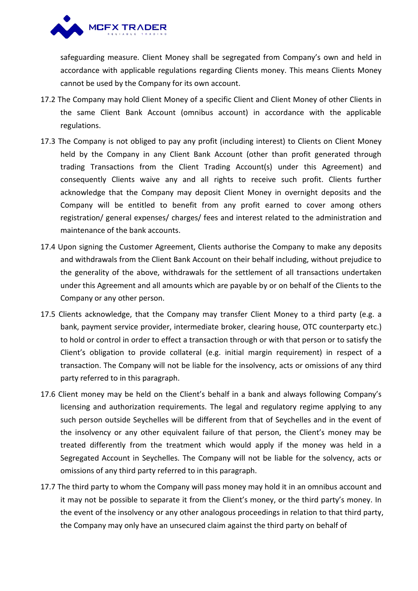

safeguarding measure. Client Money shall be segregated from Company's own and held in accordance with applicable regulations regarding Clients money. This means Clients Money cannot be used by the Company for its own account.

- 17.2 The Company may hold Client Money of a specific Client and Client Money of other Clients in the same Client Bank Account (omnibus account) in accordance with the applicable regulations.
- 17.3 The Company is not obliged to pay any profit (including interest) to Clients on Client Money held by the Company in any Client Bank Account (other than profit generated through trading Transactions from the Client Trading Account(s) under this Agreement) and consequently Clients waive any and all rights to receive such profit. Clients further acknowledge that the Company may deposit Client Money in overnight deposits and the Company will be entitled to benefit from any profit earned to cover among others registration/ general expenses/ charges/ fees and interest related to the administration and maintenance of the bank accounts.
- 17.4 Upon signing the Customer Agreement, Clients authorise the Company to make any deposits and withdrawals from the Client Bank Account on their behalf including, without prejudice to the generality of the above, withdrawals for the settlement of all transactions undertaken under this Agreement and all amounts which are payable by or on behalf of the Clients to the Company or any other person.
- 17.5 Clients acknowledge, that the Company may transfer Client Money to a third party (e.g. a bank, payment service provider, intermediate broker, clearing house, OTC counterparty etc.) to hold or control in order to effect a transaction through or with that person or to satisfy the Client's obligation to provide collateral (e.g. initial margin requirement) in respect of a transaction. The Company will not be liable for the insolvency, acts or omissions of any third party referred to in this paragraph.
- 17.6 Client money may be held on the Client's behalf in a bank and always following Company's licensing and authorization requirements. The legal and regulatory regime applying to any such person outside Seychelles will be different from that of Seychelles and in the event of the insolvency or any other equivalent failure of that person, the Client's money may be treated differently from the treatment which would apply if the money was held in a Segregated Account in Seychelles. The Company will not be liable for the solvency, acts or omissions of any third party referred to in this paragraph.
- 17.7 The third party to whom the Company will pass money may hold it in an omnibus account and it may not be possible to separate it from the Client's money, or the third party's money. In the event of the insolvency or any other analogous proceedings in relation to that third party, the Company may only have an unsecured claim against the third party on behalf of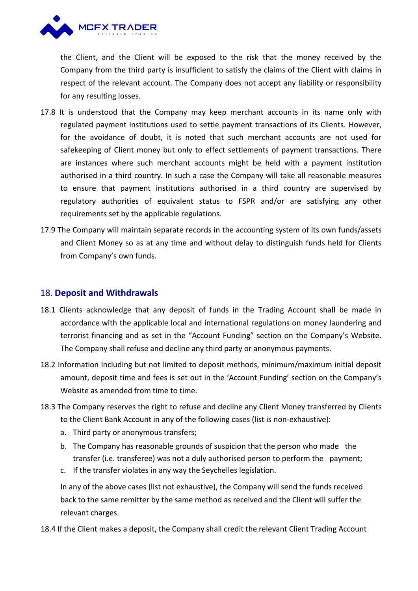

the Client, and the Client will be exposed to the risk that the money received by the Company from the third party is insufficient to satisfy the claims of the Client with claims in respect of the relevant account. The Company does not accept any liability or responsibility for any resulting losses.

- 17.8 It is understood that the Company may keep merchant accounts in its name only with regulated payment institutions used to settle payment transactions of its Clients. However, for the avoidance of doubt, it is noted that such merchant accounts are not used for safekeeping of Client money but only to effect settlements of payment transactions. There are instances where such merchant accounts might be held with a payment institution authorised in a third country. In such a case the Company will take all reasonable measures to ensure that payment institutions authorised in a third country are supervised by regulatory authorities of equivalent status to FSPR and/or are satisfying any other requirements set by the applicable regulations.
- 17.9 The Company will maintain separate records in the accounting system of its own funds/assets and Client Money so as at any time and without delay to distinguish funds held for Clients from Company's own funds.

#### 18. **Deposit and Withdrawals**

- 18.1 Clients acknowledge that any deposit of funds in the Trading Account shall be made in accordance with the applicable local and international regulations on money laundering and terrorist financing and as set in the "Account Funding" section on the Company's Website. The Company shall refuse and decline any third party or anonymous payments.
- 18.2 Information including but not limited to deposit methods, minimum/maximum initial deposit amount, deposit time and fees is set out in the 'Account Funding' section on the Company's Website as amended from time to time.
- 18.3 The Company reserves the right to refuse and decline any Client Money transferred by Clients to the Client Bank Account in any of the following cases (list is non-exhaustive):
	- a. Third party or anonymous transfers;
	- b. The Company has reasonable grounds of suspicion that the person who made the transfer (i.e. transferee) was not a duly authorised person to perform the payment;
	- c. If the transfer violates in any way the Seychelles legislation.

In any of the above cases (list not exhaustive), the Company will send the funds received back to the same remitter by the same method as received and the Client will suffer the relevant charges.

18.4 If the Client makes a deposit, the Company shall credit the relevant Client Trading Account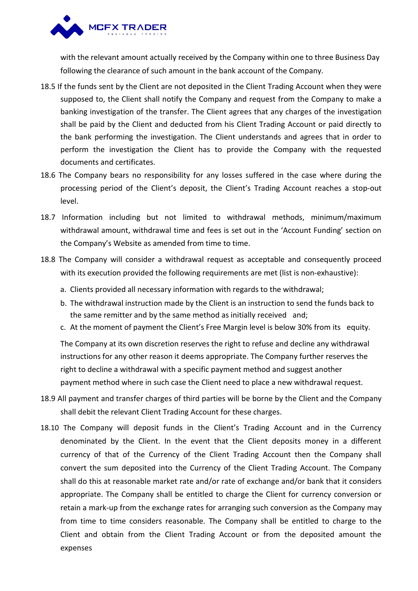

with the relevant amount actually received by the Company within one to three Business Day following the clearance of such amount in the bank account of the Company.

- 18.5 If the funds sent by the Client are not deposited in the Client Trading Account when they were supposed to, the Client shall notify the Company and request from the Company to make a banking investigation of the transfer. The Client agrees that any charges of the investigation shall be paid by the Client and deducted from his Client Trading Account or paid directly to the bank performing the investigation. The Client understands and agrees that in order to perform the investigation the Client has to provide the Company with the requested documents and certificates.
- 18.6 The Company bears no responsibility for any losses suffered in the case where during the processing period of the Client's deposit, the Client's Trading Account reaches a stop-out level.
- 18.7 Information including but not limited to withdrawal methods, minimum/maximum withdrawal amount, withdrawal time and fees is set out in the 'Account Funding' section on the Company's Website as amended from time to time.
- 18.8 The Company will consider a withdrawal request as acceptable and consequently proceed with its execution provided the following requirements are met (list is non-exhaustive):
	- a. Clients provided all necessary information with regards to the withdrawal;
	- b. The withdrawal instruction made by the Client is an instruction to send the funds back to the same remitter and by the same method as initially received and;
	- c. At the moment of payment the Client's Free Margin level is below 30% from its equity.

The Company at its own discretion reserves the right to refuse and decline any withdrawal instructions for any other reason it deems appropriate. The Company further reserves the right to decline a withdrawal with a specific payment method and suggest another payment method where in such case the Client need to place a new withdrawal request.

- 18.9 All payment and transfer charges of third parties will be borne by the Client and the Company shall debit the relevant Client Trading Account for these charges.
- 18.10 The Company will deposit funds in the Client's Trading Account and in the Currency denominated by the Client. In the event that the Client deposits money in a different currency of that of the Currency of the Client Trading Account then the Company shall convert the sum deposited into the Currency of the Client Trading Account. The Company shall do this at reasonable market rate and/or rate of exchange and/or bank that it considers appropriate. The Company shall be entitled to charge the Client for currency conversion or retain a mark-up from the exchange rates for arranging such conversion as the Company may from time to time considers reasonable. The Company shall be entitled to charge to the Client and obtain from the Client Trading Account or from the deposited amount the expenses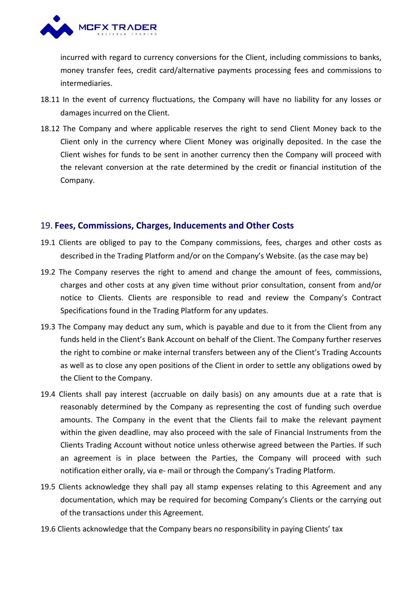

incurred with regard to currency conversions for the Client, including commissions to banks, money transfer fees, credit card/alternative payments processing fees and commissions to intermediaries.

- 18.11 In the event of currency fluctuations, the Company will have no liability for any losses or damages incurred on the Client.
- 18.12 The Company and where applicable reserves the right to send Client Money back to the Client only in the currency where Client Money was originally deposited. In the case the Client wishes for funds to be sent in another currency then the Company will proceed with the relevant conversion at the rate determined by the credit or financial institution of the Company.

#### 19. **Fees, Commissions, Charges, Inducements and Other Costs**

- 19.1 Clients are obliged to pay to the Company commissions, fees, charges and other costs as described in the Trading Platform and/or on the Company's Website. (as the case may be)
- 19.2 The Company reserves the right to amend and change the amount of fees, commissions, charges and other costs at any given time without prior consultation, consent from and/or notice to Clients. Clients are responsible to read and review the Company's Contract Specifications found in the Trading Platform for any updates.<br>19.3 The Company may deduct any sum, which is payable and due to it from the Client from any
- funds held in the Client's Bank Account on behalf of the Client. The Company further reserves the right to combine or make internal transfers between any of the Client's Trading Accounts as well as to close any open positions of the Client in order to settle any obligations owed by the Client to the Company.
- 19.4 Clients shall pay interest (accruable on daily basis) on any amounts due at a rate that is reasonably determined by the Company as representing the cost of funding such overdue amounts. The Company in the event that the Clients fail to make the relevant payment within the given deadline, may also proceed with the sale of Financial Instruments from the Clients Trading Account without notice unless otherwise agreed between the Parties. If such an agreement is in place between the Parties, the Company will proceed with such notification either orally, via e- mail or through the Company's Trading Platform.
- 19.5 Clients acknowledge they shall pay all stamp expenses relating to this Agreement and any documentation, which may be required for becoming Company's Clients or the carrying out of the transactions under this Agreement.
- 19.6 Clients acknowledge that the Company bears no responsibility in paying Clients' tax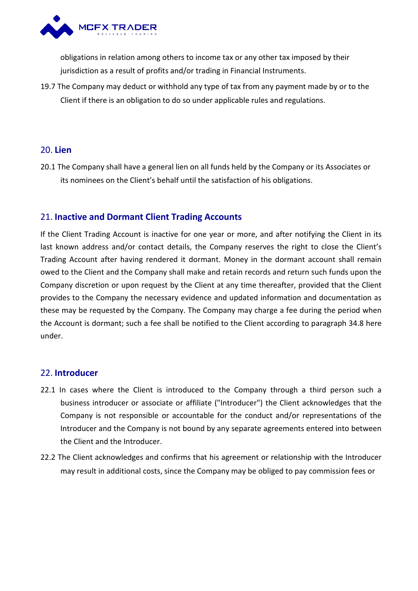

obligations in relation among others to income tax or any other tax imposed by their jurisdiction as a result of profits and/or trading in Financial Instruments.

19.7 The Company may deduct or withhold any type of tax from any payment made by or to the Client if there is an obligation to do so under applicable rules and regulations.

# 20. **Lien**

20.1 The Company shall have a general lien on all funds held by the Company or its Associates or its nominees on the Client's behalf until the satisfaction of his obligations.

# 21. **Inactive and Dormant Client Trading Accounts**

If the Client Trading Account is inactive for one year or more, and after notifying the Client in its last known address and/or contact details, the Company reserves the right to close the Client's Trading Account after having rendered it dormant. Money in the dormant account shall remain owed to the Client and the Company shall make and retain records and return such funds upon the Company discretion or upon request by the Client at any time thereafter, provided that the Client provides to the Company the necessary evidence and updated information and documentation as these may be requested by the Company. The Company may charge a fee during the period when the Account is dormant; such a fee shall be notified to the Client according to paragraph 34.8 here under.

#### 22. **Introducer**

- 22.1 In cases where the Client is introduced to the Company through a third person such a business introducer or associate or affiliate ("Introducer") the Client acknowledges that the Company is not responsible or accountable for the conduct and/or representations of the Introducer and the Company is not bound by any separate agreements entered into between the Client and the Introducer.
- 22.2 The Client acknowledges and confirms that his agreement or relationship with the Introducer may result in additional costs, since the Company may be obliged to pay commission fees or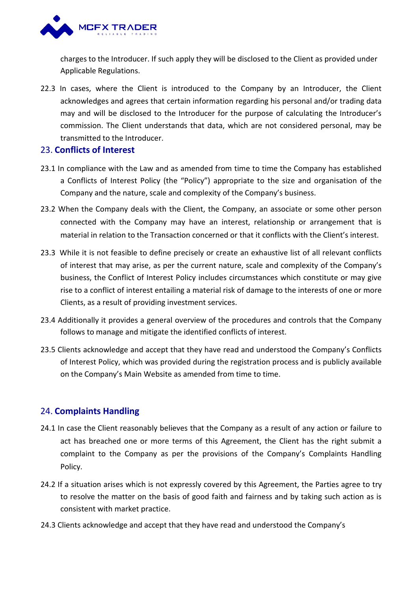

charges to the Introducer. If such apply they will be disclosed to the Client as provided under Applicable Regulations.

22.3 In cases, where the Client is introduced to the Company by an Introducer, the Client acknowledges and agrees that certain information regarding his personal and/or trading data may and will be disclosed to the Introducer for the purpose of calculating the Introducer's commission. The Client understands that data, which are not considered personal, may be transmitted to the Introducer.

### 23. **Conflicts of Interest**

- 23.1 In compliance with the Law and as amended from time to time the Company has established a Conflicts of Interest Policy (the "Policy") appropriate to the size and organisation of the Company and the nature, scale and complexity of the Company's business.
- 23.2 When the Company deals with the Client, the Company, an associate or some other person connected with the Company may have an interest, relationship or arrangement that is material in relation to the Transaction concerned or that it conflicts with the Client's interest.
- 23.3 While it is not feasible to define precisely or create an exhaustive list of all relevant conflicts of interest that may arise, as per the current nature, scale and complexity of the Company's business, the Conflict of Interest Policy includes circumstances which constitute or may give rise to a conflict of interest entailing a material risk of damage to the interests of one or more Clients, as a result of providing investment services.
- 23.4 Additionally it provides a general overview of the procedures and controls that the Company follows to manage and mitigate the identified conflicts of interest.
- 23.5 Clients acknowledge and accept that they have read and understood the Company's Conflicts of Interest Policy, which was provided during the registration process and is publicly available on the Company's Main Website as amended from time to time.

# 24. **Complaints Handling**

- 24.1 In case the Client reasonably believes that the Company as a result of any action or failure to act has breached one or more terms of this Agreement, the Client has the right submit a complaint to the Company as per the provisions of the Company's Complaints Handling Policy.
- 24.2 If a situation arises which is not expressly covered by this Agreement, the Parties agree to try to resolve the matter on the basis of good faith and fairness and by taking such action as is consistent with market practice.
- 24.3 Clients acknowledge and accept that they have read and understood the Company's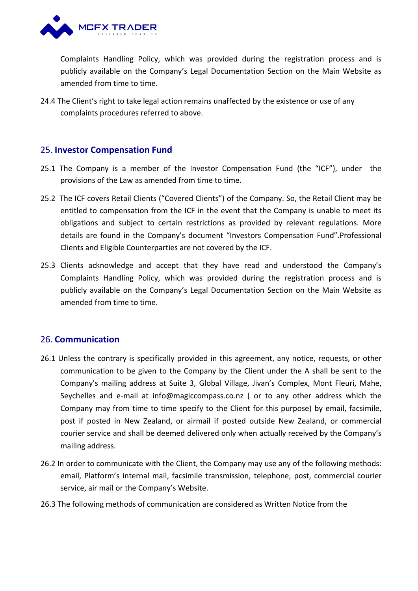

Complaints Handling Policy, which was provided during the registration process and is publicly available on the Company's Legal Documentation Section on the Main Website as amended from time to time.

24.4 The Client's right to take legal action remains unaffected by the existence or use of any complaints procedures referred to above.

### 25. **Investor Compensation Fund**

- 25.1 The Company is a member of the Investor Compensation Fund (the "ICF"), under the provisions of the Law as amended from time to time.
- 25.2 The ICF covers Retail Clients ("Covered Clients") of the Company. So, the Retail Client may be entitled to compensation from the ICF in the event that the Company is unable to meet its obligations and subject to certain restrictions as provided by relevant regulations. More details are found in the Company's document "Investors Compensation Fund".Professional Clients and Eligible Counterparties are not covered by the ICF.
- 25.3 Clients acknowledge and accept that they have read and understood the Company's Complaints Handling Policy, which was provided during the registration process and is publicly available on the Company's Legal Documentation Section on the Main Website as amended from time to time.

# 26. **Communication**

- 26.1 Unless the contrary is specifically provided in this agreement, any notice, requests, or other communication to be given to the Company by the Client under the A shall be sent to the Company's mailing address at Suite 3, Global Village, Jivan's Complex, Mont Fleuri, Mahe, Seychelles and e-mail at info@magiccompass.co.nz ( or to any other address which the Company may from time to time specify to the Client for this purpose) by email, facsimile, post if posted in New Zealand, or airmail if posted outside New Zealand, or commercial courier service and shall be deemed delivered only when actually received by the Company's mailing address.
- 26.2 In order to communicate with the Client, the Company may use any of the following methods: email, Platform's internal mail, facsimile transmission, telephone, post, commercial courier service, air mail or the Company's Website.
- 26.3 The following methods of communication are considered as Written Notice from the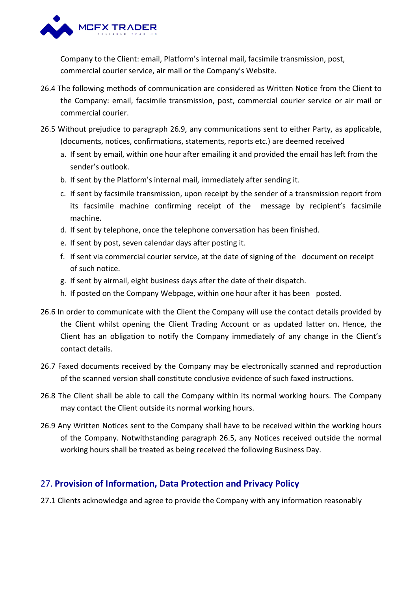

Company to the Client: email, Platform's internal mail, facsimile transmission, post, commercial courier service, air mail or the Company's Website.

- 26.4 The following methods of communication are considered as Written Notice from the Client to the Company: email, facsimile transmission, post, commercial courier service or air mail or commercial courier.
- 26.5 Without prejudice to paragraph 26.9, any communications sent to either Party, as applicable, (documents, notices, confirmations, statements, reports etc.) are deemed received
	- a. If sent by email, within one hour after emailing it and provided the email has left from the sender's outlook.
	- b. If sent by the Platform's internal mail, immediately after sending it.
	- c. If sent by facsimile transmission, upon receipt by the sender of a transmission report from its facsimile machine confirming receipt of the message by recipient's facsimile machine.
	- d. If sent by telephone, once the telephone conversation has been finished.
	- e. If sent by post, seven calendar days after posting it.
	- f. If sent via commercial courier service, at the date of signing of the document on receipt of such notice.
	- g. If sent by airmail, eight business days after the date of their dispatch.
	- h. If posted on the Company Webpage, within one hour after it has been posted.
- 26.6 In order to communicate with the Client the Company will use the contact details provided by the Client whilst opening the Client Trading Account or as updated latter on. Hence, the Client has an obligation to notify the Company immediately of any change in the Client's contact details.
- 26.7 Faxed documents received by the Company may be electronically scanned and reproduction of the scanned version shall constitute conclusive evidence of such faxed instructions.
- 26.8 The Client shall be able to call the Company within its normal working hours. The Company may contact the Client outside its normal working hours.
- 26.9 Any Written Notices sent to the Company shall have to be received within the working hours of the Company. Notwithstanding paragraph 26.5, any Notices received outside the normal working hours shall be treated as being received the following Business Day.

# 27. **Provision of Information, Data Protection and Privacy Policy**

27.1 Clients acknowledge and agree to provide the Company with any information reasonably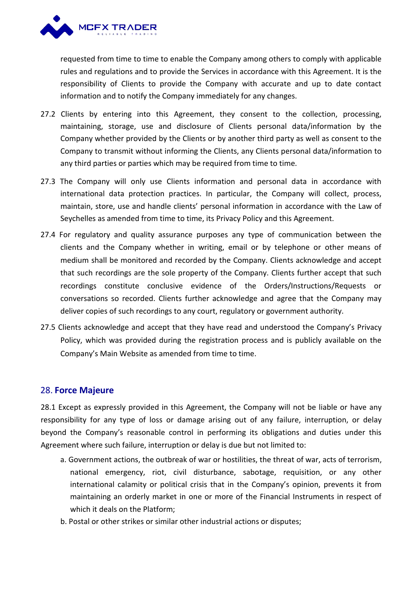

requested from time to time to enable the Company among others to comply with applicable rules and regulations and to provide the Services in accordance with this Agreement. It is the responsibility of Clients to provide the Company with accurate and up to date contact

- information and to notify the Company immediately for any changes.<br>27.2 Clients by entering into this Agreement, they consent to the collection, processing, maintaining, storage, use and disclosure of Clients personal data/information by the Company whether provided by the Clients or by another third party as well as consent to the Company to transmitwithout informing the Clients, any Clients personal data/information to any third parties or parties which may be required from time to time.
- 27.3 The Company will only use Clients information and personal data in accordance with international data protection practices. In particular, the Company will collect, process, maintain, store, use and handle clients' personal information in accordance with the Law of Seychelles as amended from time to time, its Privacy Policy and this Agreement.
- 27.4 For regulatory and quality assurance purposes any type of communication between the clients and the Company whether in writing, email or by telephone or other means of medium shall be monitored and recorded by the Company. Clients acknowledge and accept that such recordings are the sole property of the Company. Clients further accept that such recordings constitute conclusive evidence of the Orders/Instructions/Requests or conversations so recorded. Clients further acknowledge and agree that the Company may deliver copies of such recordings to any court, regulatory or government authority.
- 27.5 Clients acknowledge and accept that they have read and understood the Company's Privacy Policy, which was provided during the registration process and is publicly available on the Company's Main Website as amended from time to time.

# 28. **Force Majeure**

28.1 Except as expressly provided in this Agreement, the Company will not be liable or have any responsibility for any type of loss or damage arising out of any failure, interruption, or delay beyond the Company's reasonable control in performing its obligations and duties under this Agreement where such failure, interruption or delay is due but not limited to:

- a. Government actions, the outbreak of war or hostilities, the threat of war, acts of terrorism, national emergency, riot, civil disturbance, sabotage, requisition, or any other international calamity or political crisis that in the Company's opinion, prevents it from maintaining an orderly market in one or more of the Financial Instruments in respect of which it deals on the Platform;
- b. Postal or other strikes or similar other industrial actions or disputes;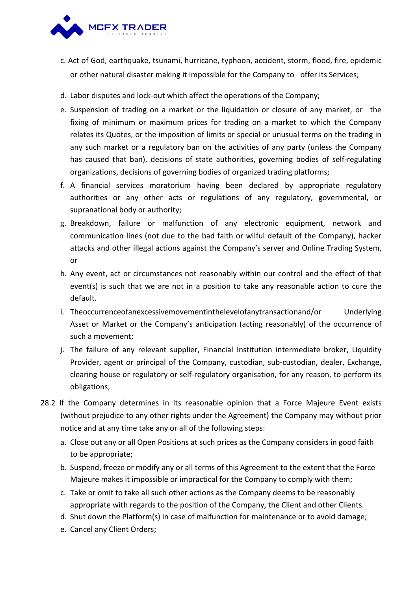

- c. Act of God, earthquake, tsunami, hurricane, typhoon, accident, storm, flood, fire, epidemic or other natural disaster making it impossible for the Company to offer its Services;
- d. Labor disputes and lock-out which affect the operations of the Company;
- e. Suspension of trading on a market or the liquidation or closure of any market, or the fixing of minimum or maximum prices for trading on amarket to which the Company relates its Quotes, or the imposition of limits or special or unusual terms on the trading in any such market or a regulatory ban on the activities of any party (unless the Company has caused that ban), decisions of state authorities, governing bodies of self-regulating organizations, decisions of governing bodies of organized trading platforms;
- f. A financial services moratorium having been declared by appropriate regulatory authorities or any other acts or regulations of any regulatory, governmental, or supranational body or authority;
- g. Breakdown, failure or malfunction of any electronic equipment, network and communication lines (not due to the bad faith or wilful default of the Company), hacker attacks and other illegal actions against the Company's server and Online Trading System, or
- h. Any event, act or circumstances not reasonably within our control and the effect of that event(s) is such that we are not in a position to take any reasonable action to cure the default.
- i. Theoccurrenceofanexcessivemovementinthelevelofanytransactionand/or Underlying Asset or Market or the Company's anticipation (acting reasonably) of the occurrence of such a movement;
- j. The failure of any relevant supplier, Financial Institution intermediate broker, Liquidity Provider, agent or principal of the Company, custodian, sub-custodian, dealer, Exchange, clearing house or regulatory or self-regulatory organisation, for any reason, to perform its obligations;
- 28.2 If the Company determines in its reasonable opinion that a Force Majeure Event exists (without prejudice to any other rights under the Agreement) the Company may without prior notice and at any time take any or all of the following steps:
	- a. Close out any or all Open Positions at such prices as the Company considers in good faith to be appropriate;
	- b. Suspend, freeze or modify any or all terms of this Agreement to the extent that the Force Majeure makes it impossible or impractical for the Company to comply with them;
	- c. Take or omit to take all such other actions as the Company deems to be reasonably appropriate with regards to the position of the Company, the Client and other Clients.
	- d. Shut down the Platform(s) in case of malfunction for maintenance or to avoid damage;
	- e. Cancel any Client Orders;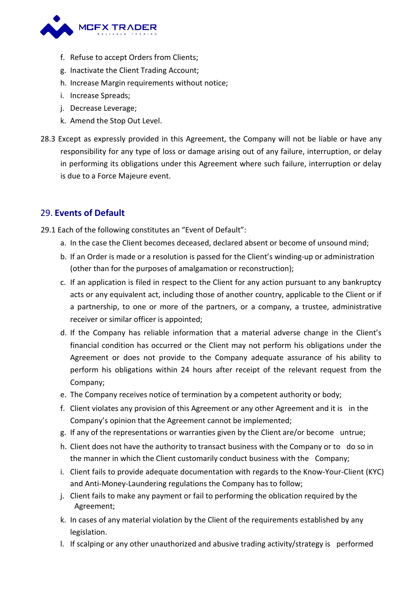

- f. Refuse to accept Orders from Clients;
- g. Inactivate the Client Trading Account;
- h. Increase Margin requirements without notice;
- i. Increase Spreads;
- j. Decrease Leverage;
- k. Amend the Stop Out Level.
- 28.3 Except as expressly provided in this Agreement, the Company will not be liable or have any responsibility for any type of loss or damage arising out of any failure, interruption, or delay in performing its obligations under this Agreement where such failure, interruption or delay is due to a Force Majeure event.

### 29. **Events of Default**

- 29.1 Each of the following constitutes an "Event of Default":
	- a. In the case the Client becomes deceased, declared absent or become of unsound mind;
	- b. If an Order is made or a resolution is passed for the Client's winding-up or administration (other than for the purposes of amalgamation or reconstruction);
	- c. If an application is filed in respect to the Client for any action pursuant to any bankruptcy acts or any equivalent act, including those of another country, applicable to the Client or if a partnership, to one or more of the partners, or a company, a trustee, administrative receiver or similar officer is appointed;
	- d. If the Company has reliable information that a material adverse change in the Client's financial condition has occurred or the Client may not perform his obligations under the Agreement or does not provide to the Company adequate assurance of his ability to perform his obligations within 24 hours after receipt of the relevant request from the Company;
	- e. The Company receives notice of termination by a competent authority or body;
	- f. Client violates any provision of this Agreement or any other Agreement and it is in the Company's opinion that the Agreement cannot be implemented;
	- g. If any of the representations or warranties given by the Client are/or become untrue;
	- h. Client does not have the authority to transact business with the Company or to do so in the manner in which the Client customarily conduct business with the Company;
	- i. Client fails to provide adequate documentation with regards to the Know-Your-Client (KYC) and Anti-Money-Laundering regulations the Company has to follow;
	- j. Client fails to make any payment or fail to performing the oblication required by the Agreement;
	- k. In cases of any material violation by the Client of the requirements established by any legislation.
	- l. If scalping or any other unauthorized and abusive trading activity/strategy is performed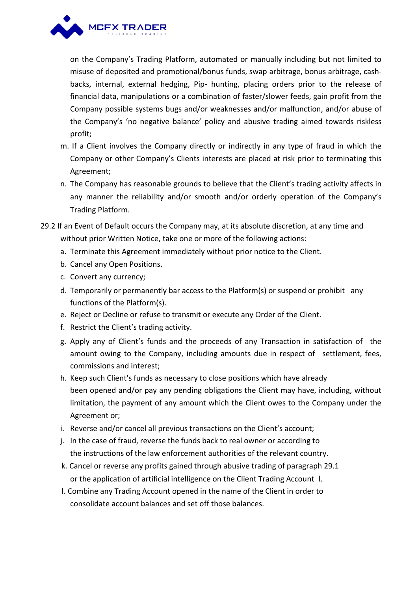

on the Company's Trading Platform, automated or manually including but not limited to misuse of deposited and promotional/bonus funds, swap arbitrage, bonus arbitrage, cash backs, internal, external hedging, Pip- hunting, placing orders prior to the release of financial data, manipulations or a combination of faster/slower feeds, gain profit from the Company possible systems bugs and/or weaknesses and/or malfunction, and/or abuse of the Company's 'no negative balance' policy and abusive trading aimed towards riskless profit;

- m. If a Client involves the Company directly or indirectly in any type of fraud in which the Company or other Company's Clients interests are placed at risk prior to terminating this Agreement;
- n. The Company has reasonable grounds to believe that the Client's trading activity affects in any manner the reliability and/or smooth and/or orderly operation of the Company's Trading Platform.
- 29.2 If an Event of Default occurs the Company may, at its absolute discretion, at any time and without prior Written Notice, take one or more of the following actions:
	- a. Terminate this Agreement immediately without prior notice to the Client.
	- b. Cancel any Open Positions.
	- c. Convert any currency;
	- d. Temporarily or permanently bar access to the Platform(s) or suspend or prohibit any functions of the Platform(s).
	- e. Reject or Decline or refuse to transmit or execute any Order of the Client.
	- f. Restrict the Client's trading activity.
	- g. Apply any of Client's funds and the proceeds of any Transaction in satisfaction of the amount owing to the Company, including amounts due in respect of settlement, fees, commissions and interest;
	- h. Keep such Client's funds as necessary to close positions which have already been opened and/or pay any pending obligations the Client may have, including, without limitation, the payment of any amount which the Client owes to the Company under the Agreement or;
	- i. Reverse and/or cancel all previous transactions on the Client's account;
	- j. In the case of fraud, reverse the funds back to real owner or according to the instructions of the law enforcement authorities of the relevant country.
	- k. Cancel or reverse any profits gained through abusive trading of paragraph 29.1 or the application of artificial intelligence on the Client Trading Account l.
	- l. Combine any Trading Account opened in the name of the Client in order to consolidate account balances and set off those balances.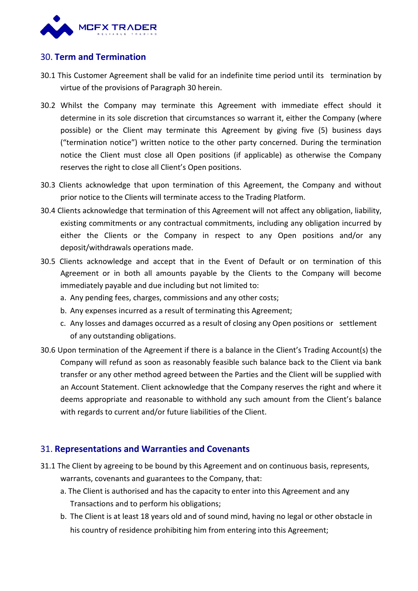

# 30. **Term and Termination**

- 30.1 This Customer Agreement shall be valid for an indefinite time period until its termination by virtue of the provisions of Paragraph 30 herein.
- 30.2 Whilst the Company may terminate this Agreement with immediate effect should it determine in its sole discretion that circumstances so warrant it, either the Company (where possible) or the Client may terminate this Agreement by giving five (5) business days ("termination notice") written notice to the other party concerned. During the termination notice the Client must close all Open positions (if applicable) as otherwise the Company reserves the right to close all Client's Open positions.
- 30.3 Clients acknowledge that upon termination of this Agreement, the Company and without prior notice to the Clients will terminate access to the Trading Platform.
- 30.4 Clients acknowledge that termination of this Agreement will not affect any obligation, liability, existing commitments or any contractual commitments, including any obligation incurred by either the Clients or the Company in respect to any Open positions and/or any deposit/withdrawals operations made.
- 30.5 Clients acknowledge and accept that in the Event of Default or on termination of this Agreement or in both all amounts payable by the Clients to the Company will become immediately payable and due including but not limited to:
	- a. Any pending fees, charges, commissions and any other costs;
	- b. Any expenses incurred as a result of terminating this Agreement;
	- c. Any losses and damages occurred as a result of closing any Open positions or settlement of any outstanding obligations.
- 30.6 Upon termination of the Agreement if there is a balance in the Client's Trading Account(s) the Company will refund as soon as reasonably feasible such balance back to the Client via bank transfer or any other method agreed between the Parties and the Client will be supplied with an Account Statement. Client acknowledge that the Company reserves the right and where it deems appropriate and reasonable to withhold any such amount from the Client's balance with regards to current and/or future liabilities of the Client.

# 31. **Representations and Warranties and Covenants**

- 31.1 The Client by agreeing to be bound by this Agreement and on continuous basis, represents, warrants, covenants and guarantees to the Company, that:
	- a. The Client is authorised and has the capacity to enter into this Agreement and any Transactions and to perform his obligations;
	- b. The Client is at least 18 years old and of sound mind, having no legal or other obstacle in his country of residence prohibiting him from entering into this Agreement;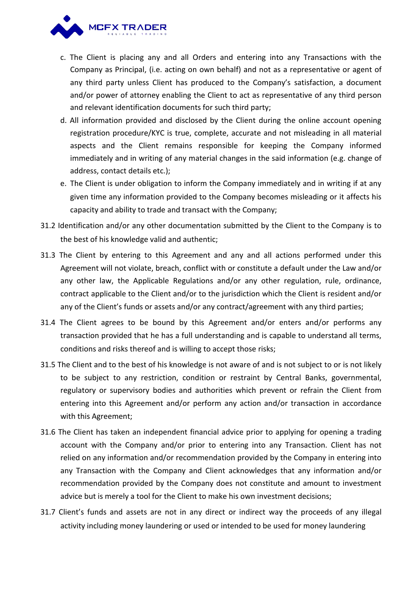

- c. The Client is placing any and all Orders and entering into any Transactions with the Company as Principal, (i.e. acting on own behalf) and not as a representative or agent of any third party unless Client has produced to the Company's satisfaction, a document and/or power of attorney enabling the Client to act as representative of any third person and relevant identification documents for such third party;
- d. All information provided and disclosed bythe Client during the online account opening registration procedure/KYC is true, complete, accurate and not misleading in all material aspects and the Client remains responsible for keeping the Company informed immediately and in writing of any material changes in the said information (e.g. change of address, contact details etc.);
- e. The Client is under obligation to inform the Company immediately and in writing if at any given time any information provided to the Company becomes misleading or it affects his capacity and ability to trade and transact with the Company;
- 31.2 Identification and/or any other documentation submitted by the Client to the Company is to the best of his knowledge valid and authentic;
- 31.3 The Client by entering to this Agreement and any and all actions performed under this Agreement will not violate, breach, conflict with or constitute a default under the Law and/or any other law, the Applicable Regulations and/or any other regulation, rule, ordinance, contract applicable to the Client and/or to the jurisdiction which the Client is resident and/or any of the Client's funds or assets and/or any contract/agreement with any third parties;
- 31.4 The Client agrees to be bound by this Agreement and/or enters and/or performs any transaction provided that he has a full understanding and is capable to understand all terms, conditions and risks thereof and is willing to accept those risks;
- 31.5 The Client and to the best of his knowledge is not aware of and is not subject to or is not likely to be subject to any restriction, condition or restraint by Central Banks, governmental, regulatory or supervisory bodies and authorities which prevent or refrain the Client from entering into this Agreement and/or perform any action and/or transaction in accordance with this Agreement;
- 31.6 The Client has taken an independent financial advice prior to applying for opening a trading account with the Company and/or prior to entering into any Transaction. Client has not relied on any information and/or recommendation provided by the Company in entering into any Transaction with the Company and Client acknowledges that any information and/or recommendation provided by the Company does not constitute and amount to investment advice but is merely a tool for the Client to make his own investment decisions;
- 31.7 Client's funds and assets are not in any direct or indirect way the proceeds of any illegal activity including money laundering or used or intended to be used for money laundering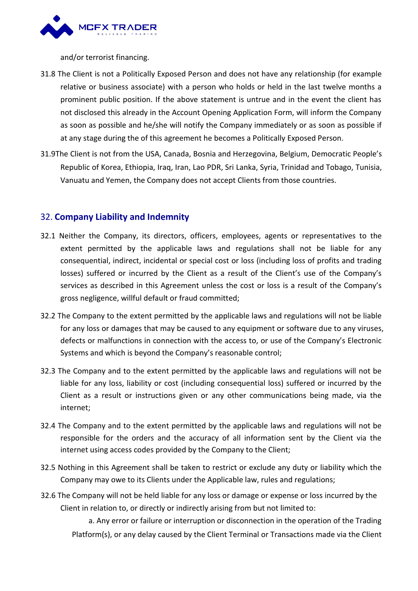

and/or terrorist financing.

- 31.8 The Client is not a Politically Exposed Person and does not have any relationship (for example relative or business associate) with a person who holds or held in the last twelve months a prominent public position. If the above statement is untrue and in the event the client has not disclosed this already in the Account Opening Application Form, will inform the Company as soon as possible and he/she will notify the Company immediately or as soon as possible if at any stage during the of this agreement he becomes a Politically Exposed Person.
- 31.9The Client is not from the USA, Canada, Bosnia and Herzegovina, Belgium, Democratic People's Republic of Korea, Ethiopia, Iraq, Iran, Lao PDR, Sri Lanka, Syria, Trinidad and Tobago, Tunisia, Vanuatu and Yemen, the Company does not accept Clients from those countries.

# 32. **Company Liability and Indemnity**

- 32.1 Neither the Company, its directors, officers, employees, agents or representatives to the extent permitted by the applicable laws and regulations shall not be liable for any consequential, indirect, incidental or special cost or loss (including loss of profits and trading losses) suffered or incurred by the Client as a result of the Client's use of the Company's services as described in this Agreement unless the cost or loss is a result of the Company's gross negligence, willful default or fraud committed;
- 32.2 The Company to the extent permitted by the applicable lawsand regulations will not be liable for any loss or damages that may be caused to any equipment or software due to any viruses, defects or malfunctions in connection with the access to, or use of the Company's Electronic Systems and which is beyond the Company's reasonable control;
- 32.3 The Company and to the extent permitted by the applicable laws and regulations will not be liable for any loss, liability or cost (including consequential loss) suffered or incurred by the Client as a result or instructions given or any other communications being made, via the internet;
- 32.4 The Company and to the extent permitted by the applicable laws and regulations will not be responsible for the orders and the accuracy of all information sent by the Client via the internet using access codes provided by the Company to the Client;
- 32.5 Nothing in this Agreement shall be taken to restrict or exclude any duty or liability which the Company may owe to its Clients under the Applicable law, rules and regulations;
- 32.6 The Company will not be held liable for any loss or damage or expense or loss incurred by the Client in relation to, or directly or indirectly arising from but not limited to:

a. Any error or failure or interruption or disconnection in the operation of the Trading Platform(s), or any delay caused by the Client Terminal or Transactions made via the Client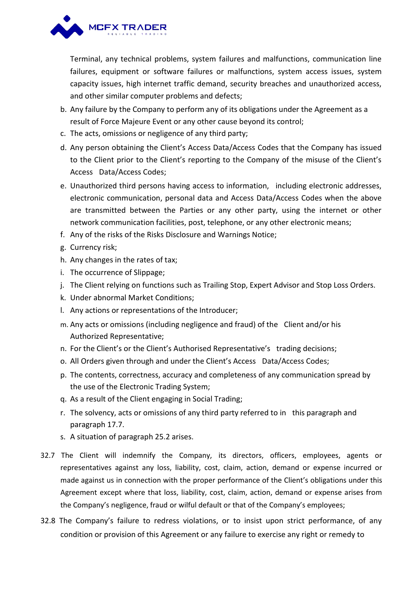

Terminal, any technical problems, system failures andmalfunctions, communication line failures, equipment or software failures or malfunctions, system access issues, system capacity issues, high internet traffic demand, security breaches and unauthorized access, and other similar computer problems and defects;

- b. Any failure by the Company to perform any of its obligations under the Agreement as a result of Force Majeure Event or any other cause beyond its control;
- c. The acts, omissions or negligence of any third party;
- d. Any person obtaining the Client's Access Data/Access Codes that the Company has issued to the Client prior to the Client's reporting to the Company of the misuse of the Client's Access Data/Access Codes;
- e. Unauthorized third persons having access to information, including electronic addresses, electronic communication, personal data and Access Data/Access Codes when the above are transmitted between the Parties or any other party, using the internet or other network communication facilities, post, telephone, or any other electronic means;
- f. Any of the risks of the Risks Disclosure and Warnings Notice;
- g. Currency risk;
- h. Any changes in the rates of tax;
- i. The occurrence of Slippage;
- j. The Client relying on functions such as Trailing Stop, Expert Advisor and Stop Loss Orders.
- k. Under abnormal Market Conditions;
- l. Any actions or representations of the Introducer;
- m. Any acts or omissions (including negligence and fraud) of the Client and/or his Authorized Representative;
- n. For the Client's or the Client's Authorised Representative's trading decisions;
- o. All Orders given through and under the Client's Access Data/Access Codes;
- p. The contents, correctness, accuracy and completeness of any communication spread by the use of the Electronic Trading System;
- q. As a result of the Client engaging in Social Trading;
- r. The solvency, acts or omissions of any third party referred to in this paragraph and paragraph 17.7.
- s. A situation of paragraph 25.2 arises.
- 32.7 The Client will indemnify the Company, its directors, officers, employees, agents or representatives against any loss, liability, cost, claim, action, demand or expense incurred or made against us in connection with the proper performance of the Client's obligations under this Agreement except where that loss, liability, cost, claim, action, demand or expense arises from the Company's negligence, fraud or wilful default or that of the Company's employees;
- 32.8 The Company's failure to redress violations, or to insist upon strict performance, of any condition or provision of this Agreement or any failure to exercise any right or remedy to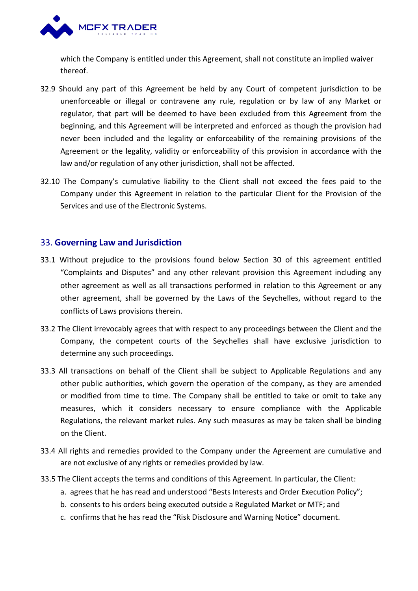

which the Company is entitled under this Agreement, shall not constitute an implied waiver thereof.

- 32.9 Should any part of this Agreement be held byany Court of competent jurisdiction to be unenforceable or illegal or contravene any rule, regulation or by law of any Market or regulator, that part will be deemed to have been excluded from this Agreement from the beginning, and this Agreement will be interpreted and enforced as though the provision had never been included and the legality or enforceability of the remaining provisions of the Agreement or the legality, validity or enforceability of this provision in accordance with the law and/or regulation of any other jurisdiction, shall not be affected.
- 32.10 The Company's cumulative liability to the Client shall not exceed the fees paid to the Company under this Agreement in relation to the particular Client for the Provision of the Services and use of the Electronic Systems.

### 33. **Governing Law and Jurisdiction**

- 33.1 Without prejudice to the provisions found below Section 30 of this agreement entitled "Complaints and Disputes" and any other relevant provision this Agreement including any other agreement as well as all transactions performed in relation to this Agreement or any other agreement, shall be governed bythe Laws ofthe Seychelles, without regard to the conflicts of Laws provisions therein.
- 33.2 The Client irrevocably agrees that with respect to any proceedings between the Client and the Company, the competent courts of the Seychelles shall have exclusive jurisdiction to determine any such proceedings.
- 33.3 All transactions on behalf of the Client shall be subject to Applicable Regulations and any other public authorities, which govern the operation of the company, as they are amended or modified from time to time. The Company shall be entitled to take or omit to take any measures, which it considers necessary to ensure compliance with the Applicable Regulations, the relevant market rules. Any such measures as may be taken shall be binding on the Client.
- 33.4 All rights and remedies provided to the Company under the Agreement are cumulative and are not exclusive of any rights or remedies provided by law.
- 33.5 The Client accepts the terms and conditions of this Agreement. In particular, the Client:
	- a. agrees that he has read and understood "Bests Interests and Order Execution Policy";
	- b. consents to his orders being executed outside a Regulated Market or MTF; and
	- c. confirms that he has read the "Risk Disclosure and Warning Notice" document.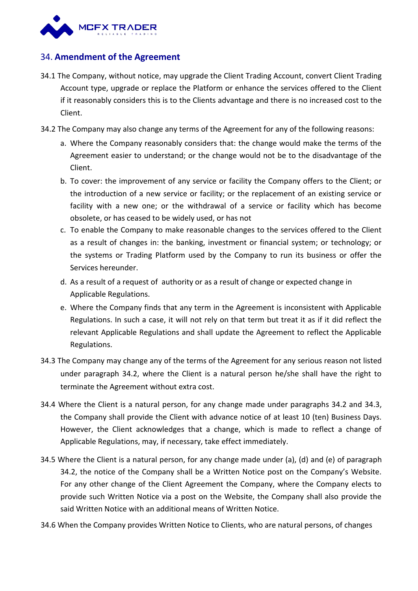

# 34. **Amendment of the Agreement**

- 34.1 The Company, without notice, may upgrade the Client Trading Account, convert Client Trading Account type, upgrade or replace the Platform or enhance the services offered to the Client if it reasonably considers this is to the Clients advantage and there is no increased cost to the Client.
- 34.2 The Company may also change any terms of the Agreement for any of the following reasons:
	- a. Where the Company reasonably considers that: the change would make the terms of the Agreement easier to understand; or the change would not be to the disadvantage of the Client.
	- b. To cover: the improvement of any service or facility the Company offers to the Client; or the introduction of a new service or facility; or the replacement of an existing service or facility with a new one; or the withdrawal of a service or facility which has become obsolete, or has ceased to be widely used, or has not
	- c. To enable the Company to make reasonable changes to the services offered to the Client as a result of changes in: the banking, investment or financial system; or technology; or the systems or Trading Platform used by the Company to run its business or offer the Services hereunder.
	- d. As a result of a request of authority or as a result of change or expected change in Applicable Regulations.
	- e. Where the Company finds that any term in the Agreement is inconsistent with Applicable Regulations. In such a case, it will not rely on that term but treat it as if it did reflect the relevant Applicable Regulations and shall update the Agreement to reflect the Applicable Regulations.
- 34.3 The Company may change any of the terms of the Agreement for any serious reason not listed under paragraph 34.2, where the Client is a natural person he/she shall have the right to terminate the Agreement without extra cost.
- 34.4 Where the Client is a natural person, for any change made under paragraphs 34.2 and 34.3, the Company shall provide the Client with advance notice of at least 10 (ten) Business Days. However, the Client acknowledges that a change, which is made to reflect a change of Applicable Regulations, may, if necessary, take effect immediately.
- 34.5 Where the Client is a natural person, for any change made under (a), (d) and (e) of paragraph 34.2, the notice of the Company shall be a Written Notice post on the Company's Website. For any other change of the Client Agreement the Company, where the Company elects to provide such Written Notice via a post on the Website, the Company shall also provide the said Written Notice with an additional means of Written Notice.
- 34.6 When the Company provides Written Notice to Clients, who are natural persons, of changes